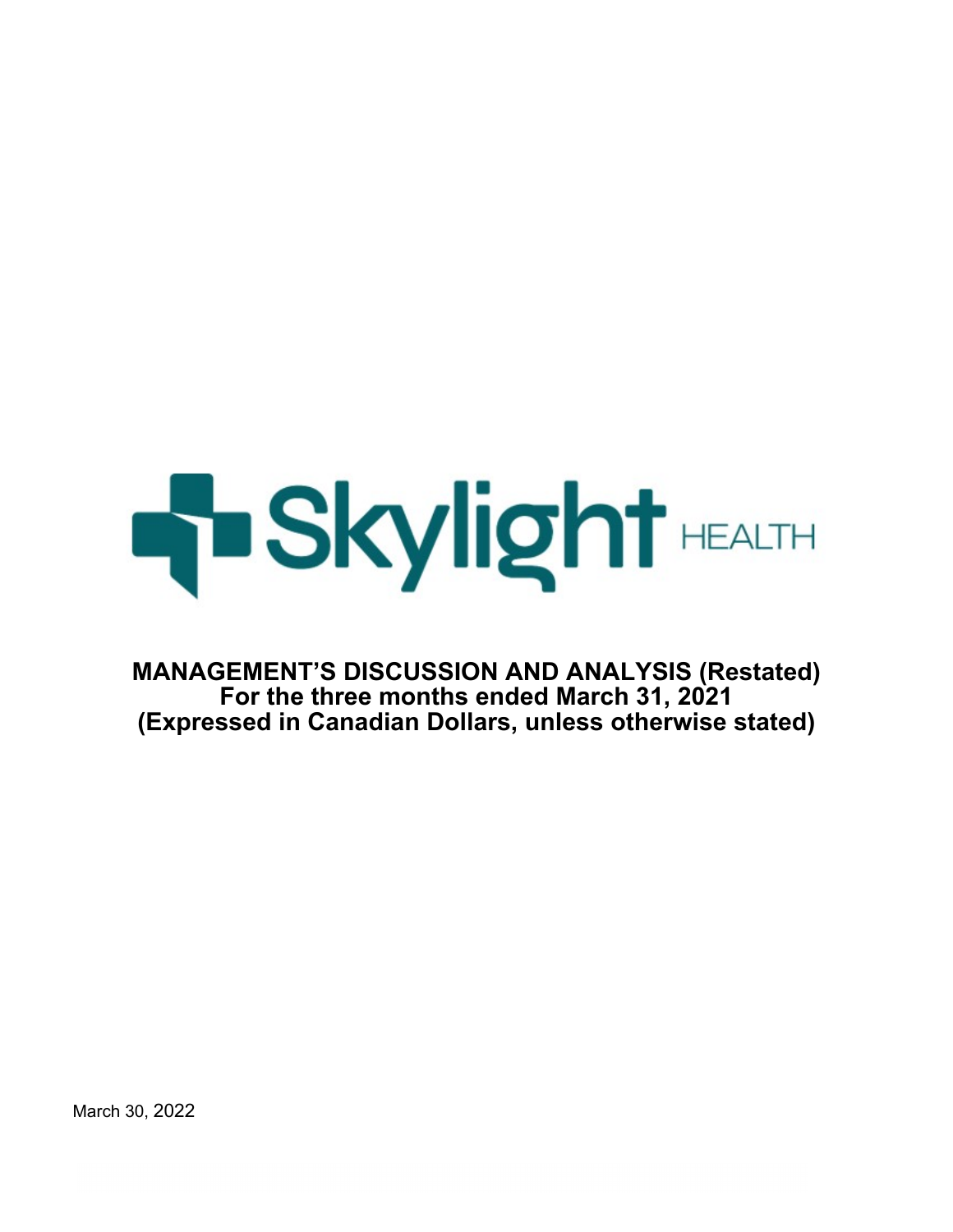

**MANAGEMENT'S DISCUSSION AND ANALYSIS (Restated) For the three months ended March 31, 2021 (Expressed in Canadian Dollars, unless otherwise stated)**

March 30, 2022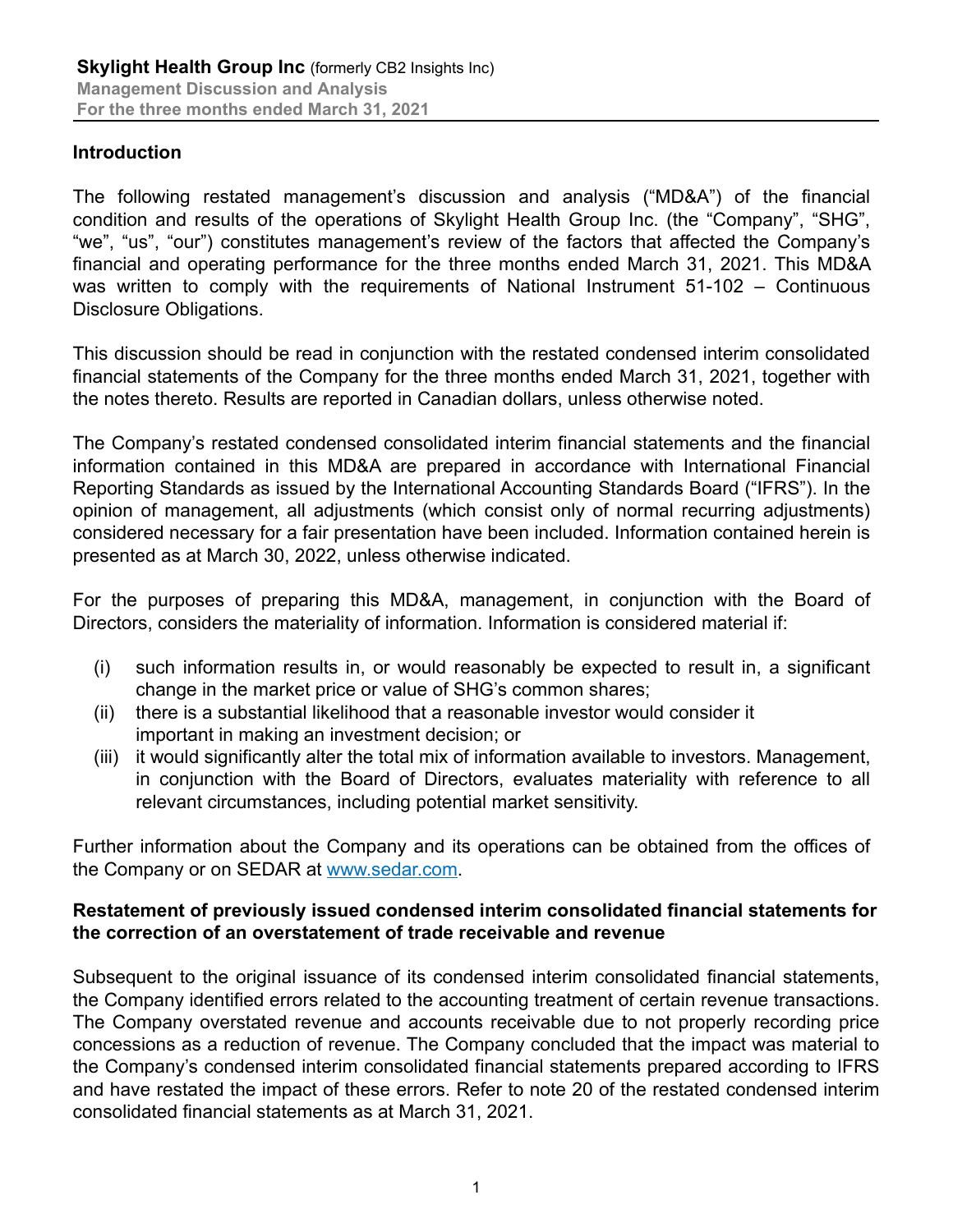# **Introduction**

The following restated management's discussion and analysis ("MD&A") of the financial condition and results of the operations of Skylight Health Group Inc. (the "Company", "SHG", "we", "us", "our") constitutes management's review of the factors that affected the Company's financial and operating performance for the three months ended March 31, 2021. This MD&A was written to comply with the requirements of National Instrument 51-102 – Continuous Disclosure Obligations.

This discussion should be read in conjunction with the restated condensed interim consolidated financial statements of the Company for the three months ended March 31, 2021, together with the notes thereto. Results are reported in Canadian dollars, unless otherwise noted.

The Company's restated condensed consolidated interim financial statements and the financial information contained in this MD&A are prepared in accordance with International Financial Reporting Standards as issued by the International Accounting Standards Board ("IFRS"). In the opinion of management, all adjustments (which consist only of normal recurring adjustments) considered necessary for a fair presentation have been included. Information contained herein is presented as at March 30, 2022, unless otherwise indicated.

For the purposes of preparing this MD&A, management, in conjunction with the Board of Directors, considers the materiality of information. Information is considered material if:

- (i) such information results in, or would reasonably be expected to result in, a significant change in the market price or value of SHG's common shares;
- (ii) there is a substantial likelihood that a reasonable investor would consider it important in making an investment decision; or
- (iii) it would significantly alter the total mix of information available to investors. Management, in conjunction with the Board of Directors, evaluates materiality with reference to all relevant circumstances, including potential market sensitivity.

Further information about the Company and its operations can be obtained from the offices of the Company or on SEDAR at www.sedar.com.

### **Restatement of previously issued condensed interim consolidated financial statements for the correction of an overstatement of trade receivable and revenue**

Subsequent to the original issuance of its condensed interim consolidated financial statements, the Company identified errors related to the accounting treatment of certain revenue transactions. The Company overstated revenue and accounts receivable due to not properly recording price concessions as a reduction of revenue. The Company concluded that the impact was material to the Company's condensed interim consolidated financial statements prepared according to IFRS and have restated the impact of these errors. Refer to note 20 of the restated condensed interim consolidated financial statements as at March 31, 2021.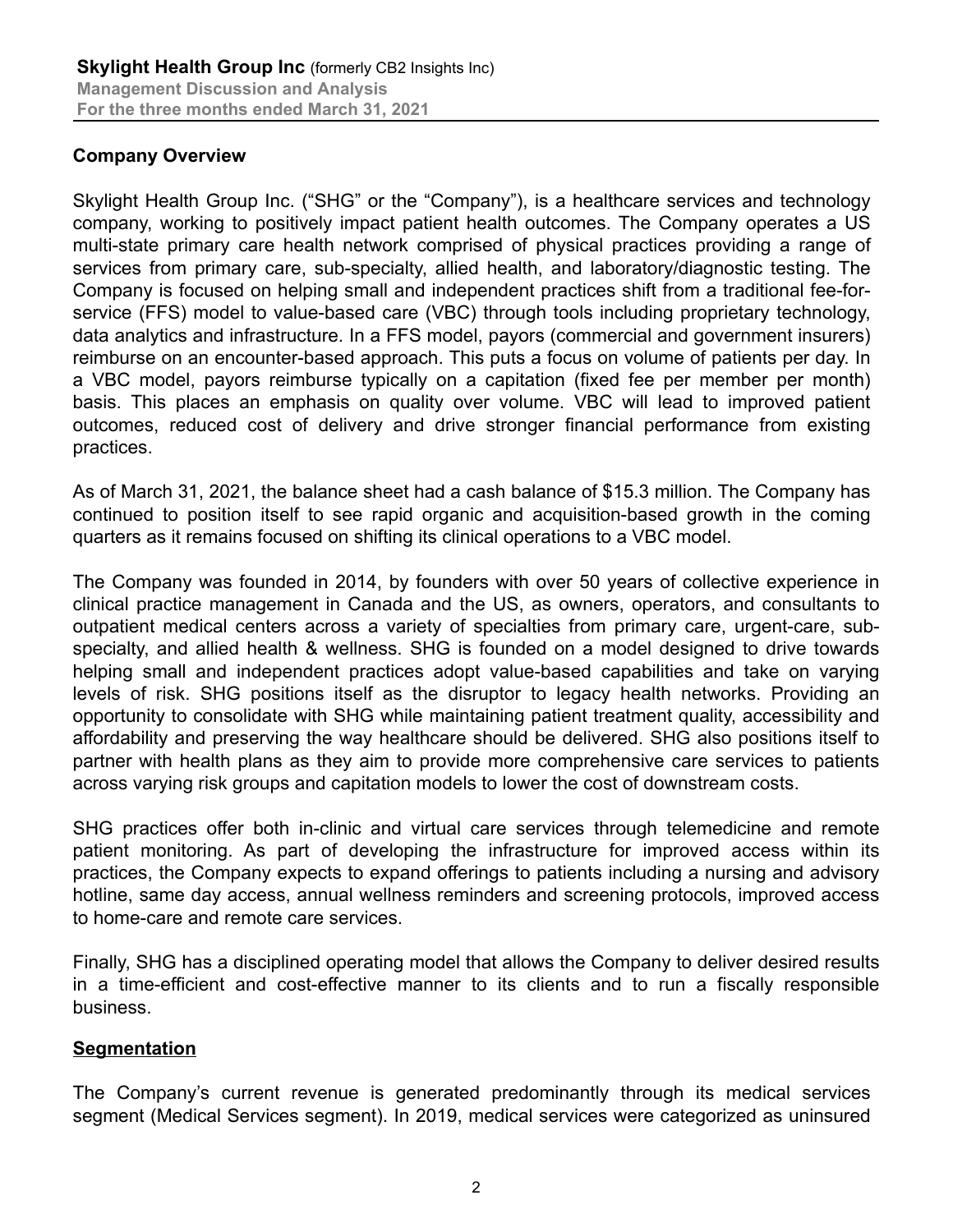### **Company Overview**

Skylight Health Group Inc. ("SHG" or the "Company"), is a healthcare services and technology company, working to positively impact patient health outcomes. The Company operates a US multi-state primary care health network comprised of physical practices providing a range of services from primary care, sub-specialty, allied health, and laboratory/diagnostic testing. The Company is focused on helping small and independent practices shift from a traditional fee-forservice (FFS) model to value-based care (VBC) through tools including proprietary technology, data analytics and infrastructure. In a FFS model, payors (commercial and government insurers) reimburse on an encounter-based approach. This puts a focus on volume of patients per day. In a VBC model, payors reimburse typically on a capitation (fixed fee per member per month) basis. This places an emphasis on quality over volume. VBC will lead to improved patient outcomes, reduced cost of delivery and drive stronger financial performance from existing practices.

As of March 31, 2021, the balance sheet had a cash balance of \$15.3 million. The Company has continued to position itself to see rapid organic and acquisition-based growth in the coming quarters as it remains focused on shifting its clinical operations to a VBC model.

The Company was founded in 2014, by founders with over 50 years of collective experience in clinical practice management in Canada and the US, as owners, operators, and consultants to outpatient medical centers across a variety of specialties from primary care, urgent-care, subspecialty, and allied health & wellness. SHG is founded on a model designed to drive towards helping small and independent practices adopt value-based capabilities and take on varying levels of risk. SHG positions itself as the disruptor to legacy health networks. Providing an opportunity to consolidate with SHG while maintaining patient treatment quality, accessibility and affordability and preserving the way healthcare should be delivered. SHG also positions itself to partner with health plans as they aim to provide more comprehensive care services to patients across varying risk groups and capitation models to lower the cost of downstream costs.

SHG practices offer both in-clinic and virtual care services through telemedicine and remote patient monitoring. As part of developing the infrastructure for improved access within its practices, the Company expects to expand offerings to patients including a nursing and advisory hotline, same day access, annual wellness reminders and screening protocols, improved access to home-care and remote care services.

Finally, SHG has a disciplined operating model that allows the Company to deliver desired results in a time-efficient and cost-effective manner to its clients and to run a fiscally responsible business.

#### **Segmentation**

The Company's current revenue is generated predominantly through its medical services segment (Medical Services segment). In 2019, medical services were categorized as uninsured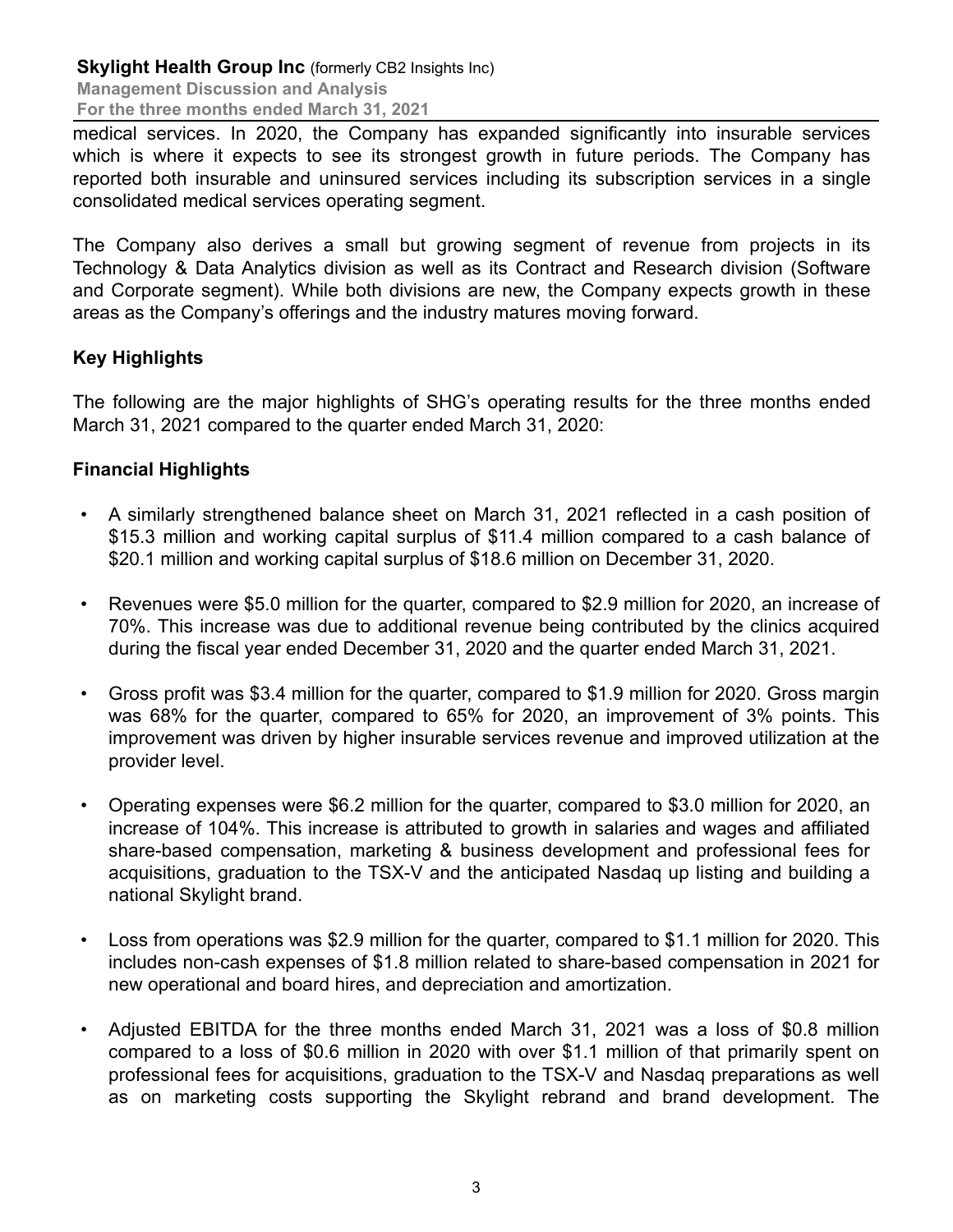medical services. In 2020, the Company has expanded significantly into insurable services which is where it expects to see its strongest growth in future periods. The Company has reported both insurable and uninsured services including its subscription services in a single consolidated medical services operating segment.

The Company also derives a small but growing segment of revenue from projects in its Technology & Data Analytics division as well as its Contract and Research division (Software and Corporate segment). While both divisions are new, the Company expects growth in these areas as the Company's offerings and the industry matures moving forward.

# **Key Highlights**

The following are the major highlights of SHG's operating results for the three months ended March 31, 2021 compared to the quarter ended March 31, 2020:

# **Financial Highlights**

- A similarly strengthened balance sheet on March 31, 2021 reflected in a cash position of \$15.3 million and working capital surplus of \$11.4 million compared to a cash balance of \$20.1 million and working capital surplus of \$18.6 million on December 31, 2020.
- Revenues were \$5.0 million for the quarter, compared to \$2.9 million for 2020, an increase of 70%. This increase was due to additional revenue being contributed by the clinics acquired during the fiscal year ended December 31, 2020 and the quarter ended March 31, 2021.
- Gross profit was \$3.4 million for the quarter, compared to \$1.9 million for 2020. Gross margin was 68% for the quarter, compared to 65% for 2020, an improvement of 3% points. This improvement was driven by higher insurable services revenue and improved utilization at the provider level.
- Operating expenses were \$6.2 million for the quarter, compared to \$3.0 million for 2020, an increase of 104%. This increase is attributed to growth in salaries and wages and affiliated share-based compensation, marketing & business development and professional fees for acquisitions, graduation to the TSX-V and the anticipated Nasdaq up listing and building a national Skylight brand.
- Loss from operations was \$2.9 million for the quarter, compared to \$1.1 million for 2020. This includes non-cash expenses of \$1.8 million related to share-based compensation in 2021 for new operational and board hires, and depreciation and amortization.
- Adjusted EBITDA for the three months ended March 31, 2021 was a loss of \$0.8 million compared to a loss of \$0.6 million in 2020 with over \$1.1 million of that primarily spent on professional fees for acquisitions, graduation to the TSX-V and Nasdaq preparations as well as on marketing costs supporting the Skylight rebrand and brand development. The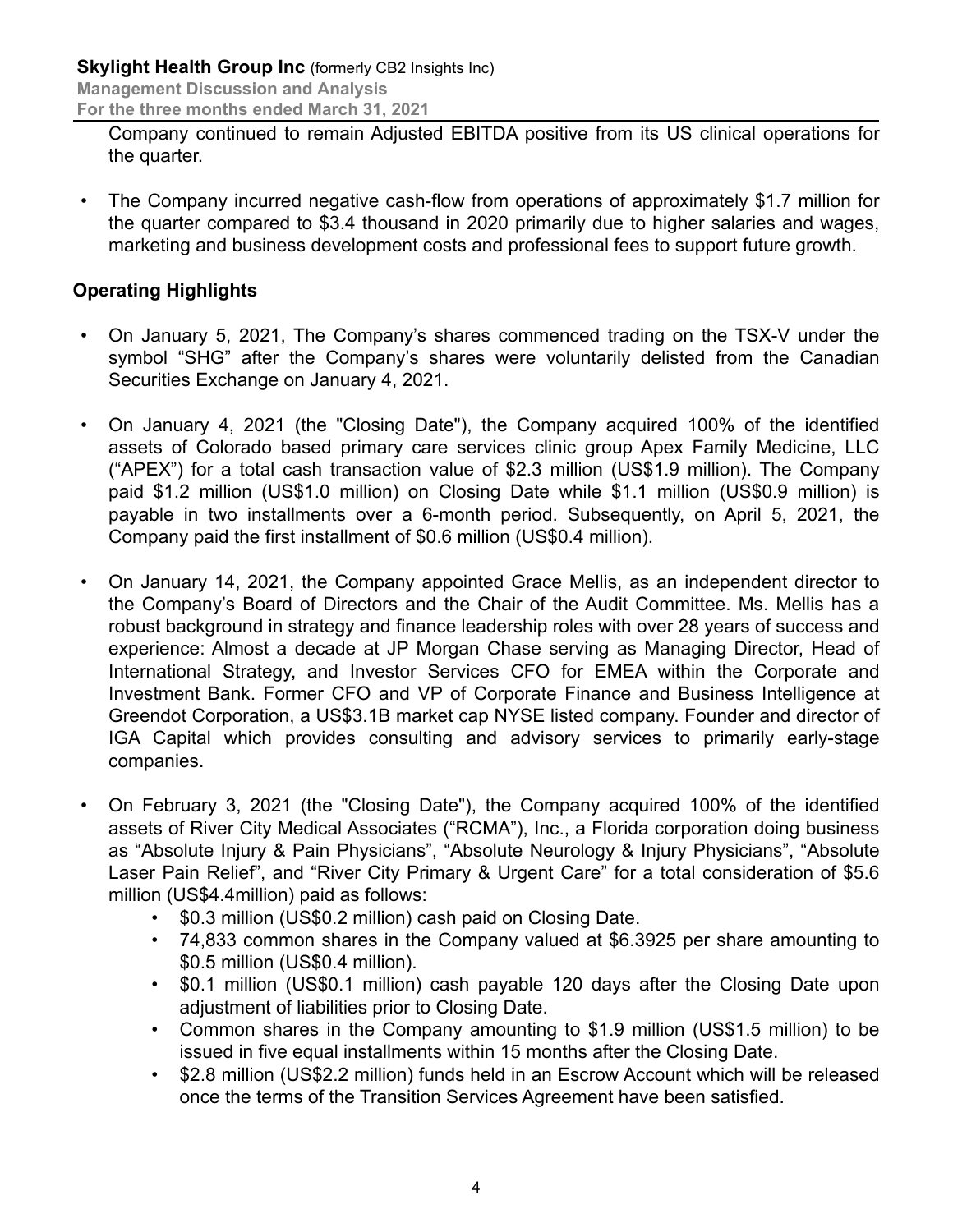**Management Discussion and Analysis**

**For the three months ended March 31, 2021**

Company continued to remain Adjusted EBITDA positive from its US clinical operations for the quarter.

• The Company incurred negative cash-flow from operations of approximately \$1.7 million for the quarter compared to \$3.4 thousand in 2020 primarily due to higher salaries and wages, marketing and business development costs and professional fees to support future growth.

# **Operating Highlights**

- On January 5, 2021, The Company's shares commenced trading on the TSX-V under the symbol "SHG" after the Company's shares were voluntarily delisted from the Canadian Securities Exchange on January 4, 2021.
- On January 4, 2021 (the "Closing Date"), the Company acquired 100% of the identified assets of Colorado based primary care services clinic group Apex Family Medicine, LLC ("APEX") for a total cash transaction value of \$2.3 million (US\$1.9 million). The Company paid \$1.2 million (US\$1.0 million) on Closing Date while \$1.1 million (US\$0.9 million) is payable in two installments over a 6-month period. Subsequently, on April 5, 2021, the Company paid the first installment of \$0.6 million (US\$0.4 million).
- On January 14, 2021, the Company appointed Grace Mellis, as an independent director to the Company's Board of Directors and the Chair of the Audit Committee. Ms. Mellis has a robust background in strategy and finance leadership roles with over 28 years of success and experience: Almost a decade at JP Morgan Chase serving as Managing Director, Head of International Strategy, and Investor Services CFO for EMEA within the Corporate and Investment Bank. Former CFO and VP of Corporate Finance and Business Intelligence at Greendot Corporation, a US\$3.1B market cap NYSE listed company. Founder and director of IGA Capital which provides consulting and advisory services to primarily early-stage companies.
- On February 3, 2021 (the "Closing Date"), the Company acquired 100% of the identified assets of River City Medical Associates ("RCMA"), Inc., a Florida corporation doing business as "Absolute Injury & Pain Physicians", "Absolute Neurology & Injury Physicians", "Absolute Laser Pain Relief", and "River City Primary & Urgent Care" for a total consideration of \$5.6 million (US\$4.4million) paid as follows:
	- \$0.3 million (US\$0.2 million) cash paid on Closing Date.
	- 74,833 common shares in the Company valued at \$6.3925 per share amounting to \$0.5 million (US\$0.4 million).
	- \$0.1 million (US\$0.1 million) cash payable 120 days after the Closing Date upon adjustment of liabilities prior to Closing Date.
	- Common shares in the Company amounting to \$1.9 million (US\$1.5 million) to be issued in five equal installments within 15 months after the Closing Date.
	- \$2.8 million (US\$2.2 million) funds held in an Escrow Account which will be released once the terms of the Transition Services Agreement have been satisfied.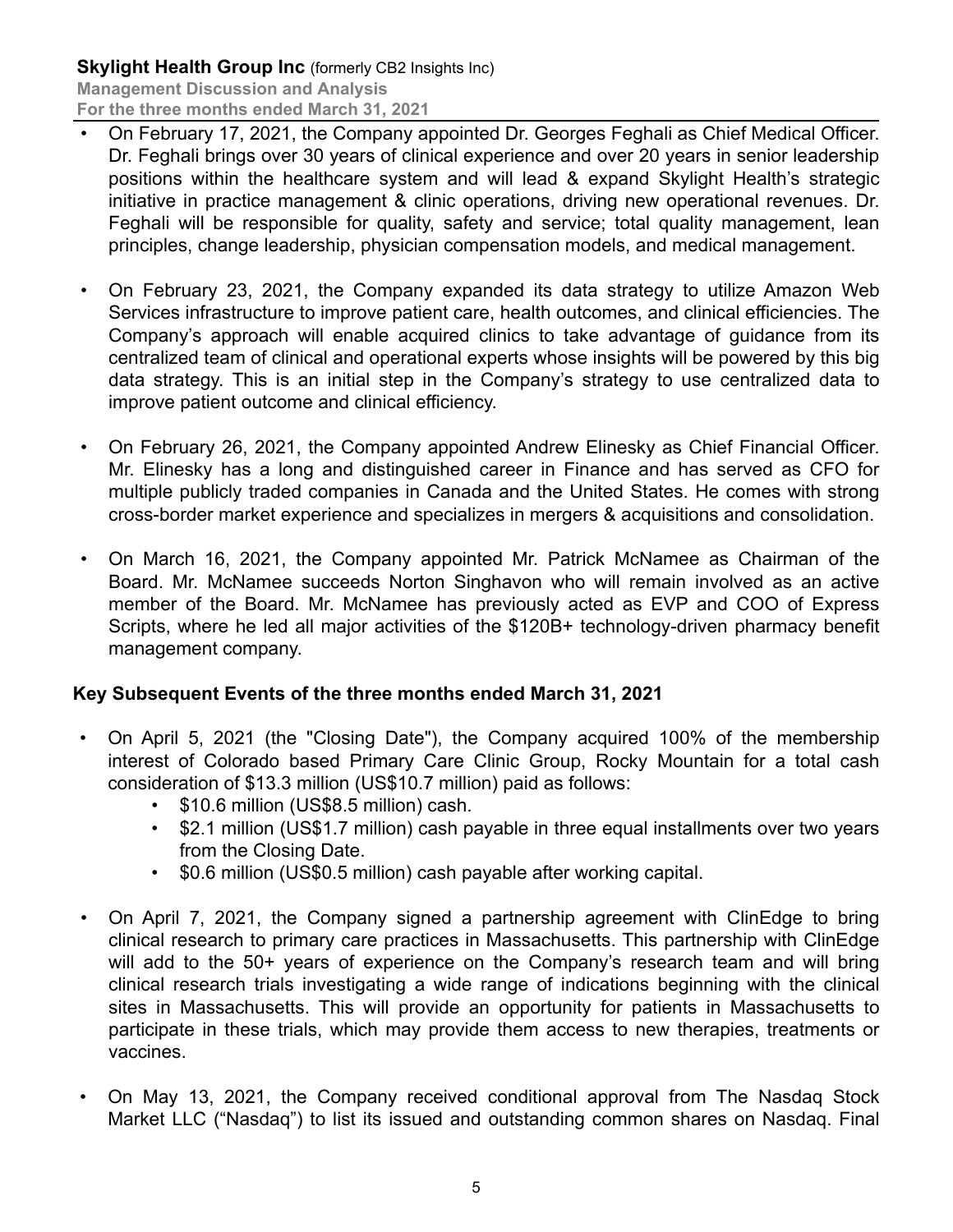- On February 17, 2021, the Company appointed Dr. Georges Feghali as Chief Medical Officer. Dr. Feghali brings over 30 years of clinical experience and over 20 years in senior leadership positions within the healthcare system and will lead & expand Skylight Health's strategic initiative in practice management & clinic operations, driving new operational revenues. Dr. Feghali will be responsible for quality, safety and service; total quality management, lean principles, change leadership, physician compensation models, and medical management.
- On February 23, 2021, the Company expanded its data strategy to utilize Amazon Web Services infrastructure to improve patient care, health outcomes, and clinical efficiencies. The Company's approach will enable acquired clinics to take advantage of guidance from its centralized team of clinical and operational experts whose insights will be powered by this big data strategy. This is an initial step in the Company's strategy to use centralized data to improve patient outcome and clinical efficiency.
- On February 26, 2021, the Company appointed Andrew Elinesky as Chief Financial Officer. Mr. Elinesky has a long and distinguished career in Finance and has served as CFO for multiple publicly traded companies in Canada and the United States. He comes with strong cross-border market experience and specializes in mergers & acquisitions and consolidation.
- On March 16, 2021, the Company appointed Mr. Patrick McNamee as Chairman of the Board. Mr. McNamee succeeds Norton Singhavon who will remain involved as an active member of the Board. Mr. McNamee has previously acted as EVP and COO of Express Scripts, where he led all major activities of the \$120B+ technology-driven pharmacy benefit management company.

# **Key Subsequent Events of the three months ended March 31, 2021**

- On April 5, 2021 (the "Closing Date"), the Company acquired 100% of the membership interest of Colorado based Primary Care Clinic Group, Rocky Mountain for a total cash consideration of \$13.3 million (US\$10.7 million) paid as follows:
	- \$10.6 million (US\$8.5 million) cash.
	- \$2.1 million (US\$1.7 million) cash payable in three equal installments over two years from the Closing Date.
	- \$0.6 million (US\$0.5 million) cash payable after working capital.
- On April 7, 2021, the Company signed a partnership agreement with ClinEdge to bring clinical research to primary care practices in Massachusetts. This partnership with ClinEdge will add to the 50+ years of experience on the Company's research team and will bring clinical research trials investigating a wide range of indications beginning with the clinical sites in Massachusetts. This will provide an opportunity for patients in Massachusetts to participate in these trials, which may provide them access to new therapies, treatments or vaccines.
- On May 13, 2021, the Company received conditional approval from The Nasdaq Stock Market LLC ("Nasdaq") to list its issued and outstanding common shares on Nasdaq. Final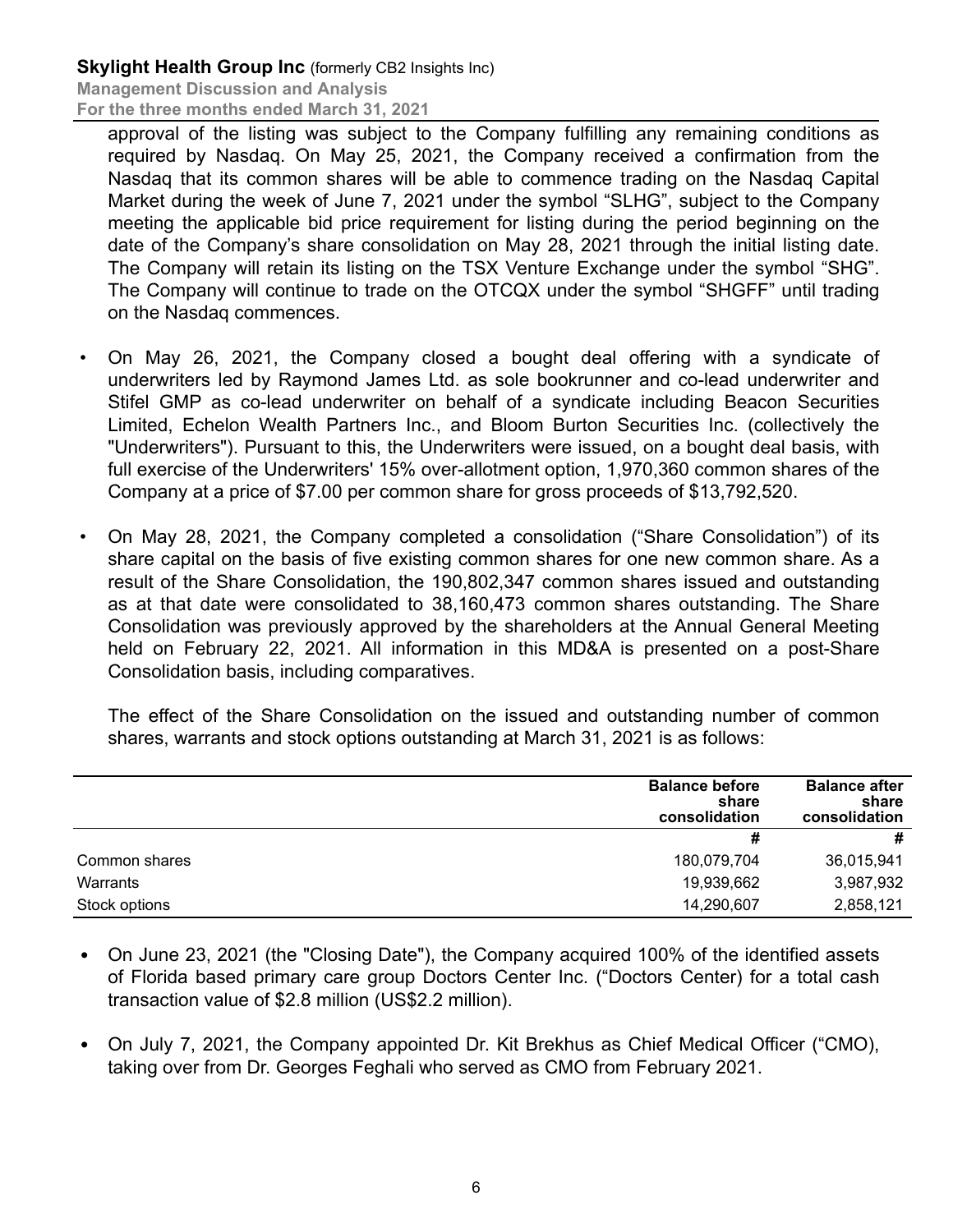approval of the listing was subject to the Company fulfilling any remaining conditions as required by Nasdaq. On May 25, 2021, the Company received a confirmation from the Nasdaq that its common shares will be able to commence trading on the Nasdaq Capital Market during the week of June 7, 2021 under the symbol "SLHG", subject to the Company meeting the applicable bid price requirement for listing during the period beginning on the date of the Company's share consolidation on May 28, 2021 through the initial listing date. The Company will retain its listing on the TSX Venture Exchange under the symbol "SHG". The Company will continue to trade on the OTCQX under the symbol "SHGFF" until trading on the Nasdaq commences.

- On May 26, 2021, the Company closed a bought deal offering with a syndicate of underwriters led by Raymond James Ltd. as sole bookrunner and co-lead underwriter and Stifel GMP as co-lead underwriter on behalf of a syndicate including Beacon Securities Limited, Echelon Wealth Partners Inc., and Bloom Burton Securities Inc. (collectively the "Underwriters"). Pursuant to this, the Underwriters were issued, on a bought deal basis, with full exercise of the Underwriters' 15% over-allotment option, 1,970,360 common shares of the Company at a price of \$7.00 per common share for gross proceeds of \$13,792,520.
- On May 28, 2021, the Company completed a consolidation ("Share Consolidation") of its share capital on the basis of five existing common shares for one new common share. As a result of the Share Consolidation, the 190,802,347 common shares issued and outstanding as at that date were consolidated to 38,160,473 common shares outstanding. The Share Consolidation was previously approved by the shareholders at the Annual General Meeting held on February 22, 2021. All information in this MD&A is presented on a post-Share Consolidation basis, including comparatives.

The effect of the Share Consolidation on the issued and outstanding number of common shares, warrants and stock options outstanding at March 31, 2021 is as follows:

|               | <b>Balance before</b><br>share<br>consolidation | <b>Balance after</b><br>share<br>consolidation |
|---------------|-------------------------------------------------|------------------------------------------------|
|               | #                                               | #                                              |
| Common shares | 180,079,704                                     | 36,015,941                                     |
| Warrants      | 19,939,662                                      | 3,987,932                                      |
| Stock options | 14,290,607                                      | 2,858,121                                      |

- On June 23, 2021 (the "Closing Date"), the Company acquired 100% of the identified assets of Florida based primary care group Doctors Center Inc. ("Doctors Center) for a total cash transaction value of \$2.8 million (US\$2.2 million).
- On July 7, 2021, the Company appointed Dr. Kit Brekhus as Chief Medical Officer ("CMO), taking over from Dr. Georges Feghali who served as CMO from February 2021.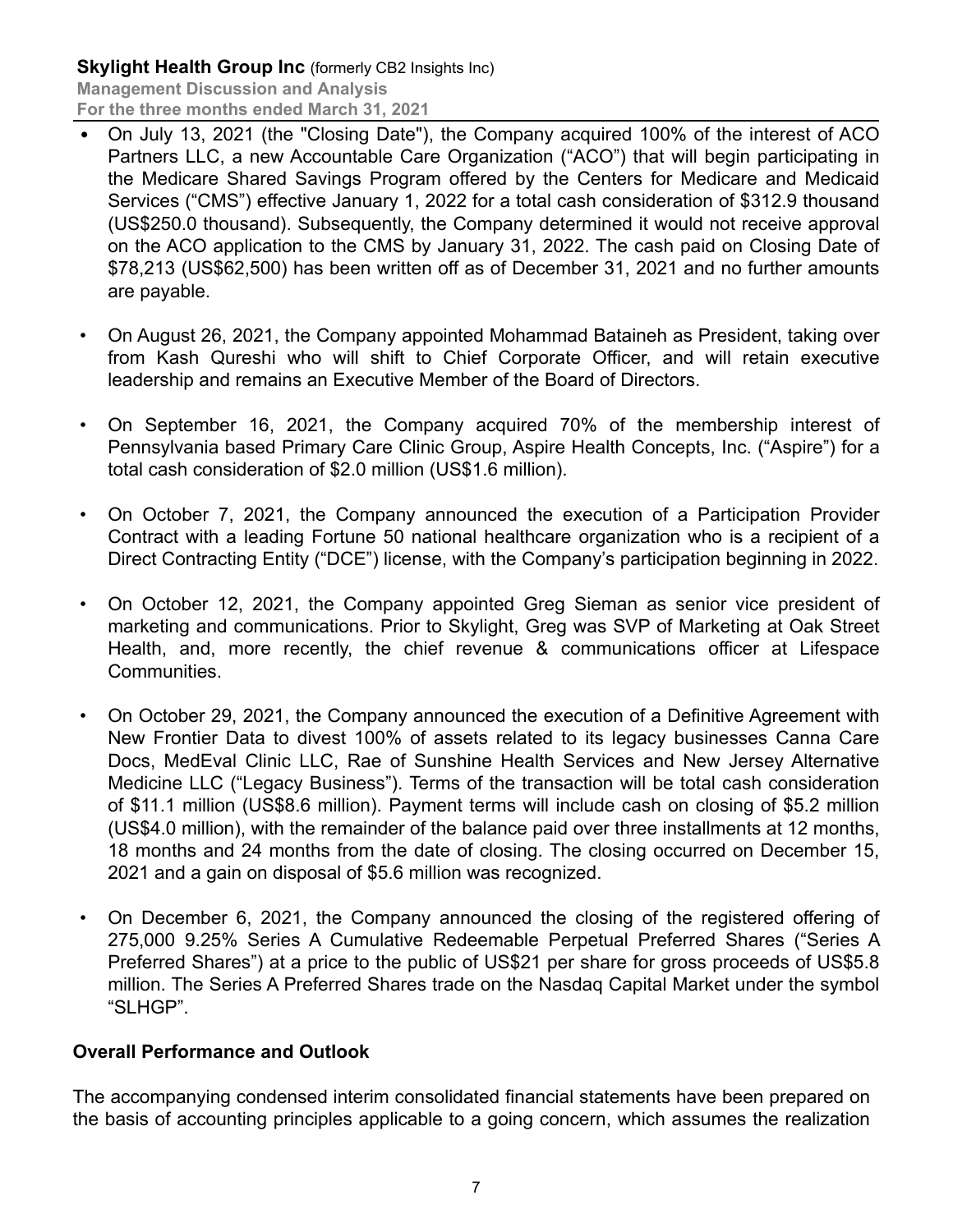**Skylight Health Group Inc (formerly CB2 Insights Inc) Management Discussion and Analysis**

- **For the three months ended March 31, 2021**
- On July 13, 2021 (the "Closing Date"), the Company acquired 100% of the interest of ACO Partners LLC, a new Accountable Care Organization ("ACO") that will begin participating in the Medicare Shared Savings Program offered by the Centers for Medicare and Medicaid Services ("CMS") effective January 1, 2022 for a total cash consideration of \$312.9 thousand (US\$250.0 thousand). Subsequently, the Company determined it would not receive approval on the ACO application to the CMS by January 31, 2022. The cash paid on Closing Date of \$78,213 (US\$62,500) has been written off as of December 31, 2021 and no further amounts are payable.
- On August 26, 2021, the Company appointed Mohammad Bataineh as President, taking over from Kash Qureshi who will shift to Chief Corporate Officer, and will retain executive leadership and remains an Executive Member of the Board of Directors.
- On September 16, 2021, the Company acquired 70% of the membership interest of Pennsylvania based Primary Care Clinic Group, Aspire Health Concepts, Inc. ("Aspire") for a total cash consideration of \$2.0 million (US\$1.6 million).
- On October 7, 2021, the Company announced the execution of a Participation Provider Contract with a leading Fortune 50 national healthcare organization who is a recipient of a Direct Contracting Entity ("DCE") license, with the Company's participation beginning in 2022.
- On October 12, 2021, the Company appointed Greg Sieman as senior vice president of marketing and communications. Prior to Skylight, Greg was SVP of Marketing at Oak Street Health, and, more recently, the chief revenue & communications officer at Lifespace Communities.
- On October 29, 2021, the Company announced the execution of a Definitive Agreement with New Frontier Data to divest 100% of assets related to its legacy businesses Canna Care Docs, MedEval Clinic LLC, Rae of Sunshine Health Services and New Jersey Alternative Medicine LLC ("Legacy Business"). Terms of the transaction will be total cash consideration of \$11.1 million (US\$8.6 million). Payment terms will include cash on closing of \$5.2 million (US\$4.0 million), with the remainder of the balance paid over three installments at 12 months, 18 months and 24 months from the date of closing. The closing occurred on December 15, 2021 and a gain on disposal of \$5.6 million was recognized.
- On December 6, 2021, the Company announced the closing of the registered offering of 275,000 9.25% Series A Cumulative Redeemable Perpetual Preferred Shares ("Series A Preferred Shares") at a price to the public of US\$21 per share for gross proceeds of US\$5.8 million. The Series A Preferred Shares trade on the Nasdaq Capital Market under the symbol "SLHGP".

#### **Overall Performance and Outlook**

The accompanying condensed interim consolidated financial statements have been prepared on the basis of accounting principles applicable to a going concern, which assumes the realization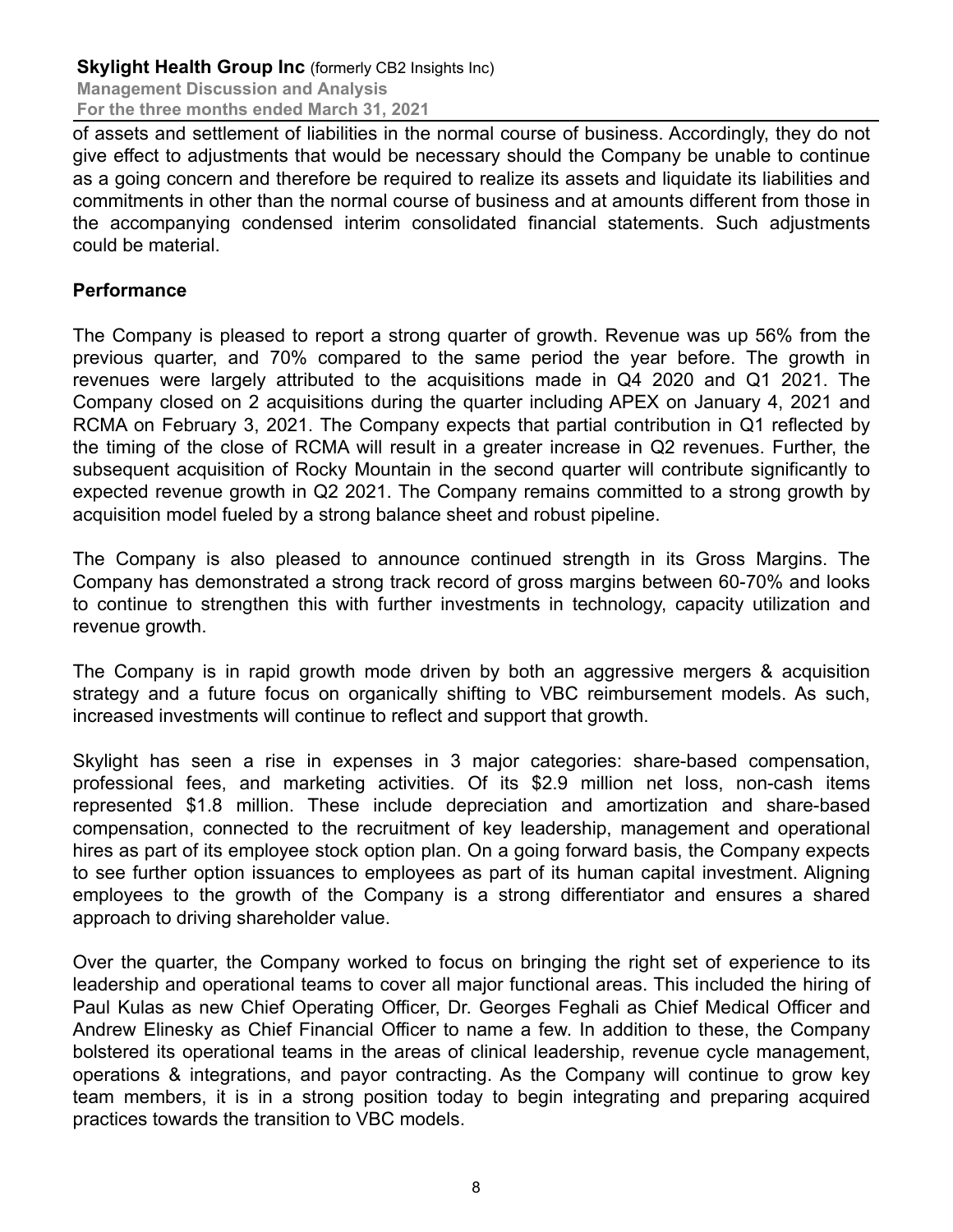of assets and settlement of liabilities in the normal course of business. Accordingly, they do not give effect to adjustments that would be necessary should the Company be unable to continue as a going concern and therefore be required to realize its assets and liquidate its liabilities and commitments in other than the normal course of business and at amounts different from those in the accompanying condensed interim consolidated financial statements. Such adjustments could be material.

### **Performance**

The Company is pleased to report a strong quarter of growth. Revenue was up 56% from the previous quarter, and 70% compared to the same period the year before. The growth in revenues were largely attributed to the acquisitions made in Q4 2020 and Q1 2021. The Company closed on 2 acquisitions during the quarter including APEX on January 4, 2021 and RCMA on February 3, 2021. The Company expects that partial contribution in Q1 reflected by the timing of the close of RCMA will result in a greater increase in Q2 revenues. Further, the subsequent acquisition of Rocky Mountain in the second quarter will contribute significantly to expected revenue growth in Q2 2021. The Company remains committed to a strong growth by acquisition model fueled by a strong balance sheet and robust pipeline.

The Company is also pleased to announce continued strength in its Gross Margins. The Company has demonstrated a strong track record of gross margins between 60-70% and looks to continue to strengthen this with further investments in technology, capacity utilization and revenue growth.

The Company is in rapid growth mode driven by both an aggressive mergers & acquisition strategy and a future focus on organically shifting to VBC reimbursement models. As such, increased investments will continue to reflect and support that growth.

Skylight has seen a rise in expenses in 3 major categories: share-based compensation, professional fees, and marketing activities. Of its \$2.9 million net loss, non-cash items represented \$1.8 million. These include depreciation and amortization and share-based compensation, connected to the recruitment of key leadership, management and operational hires as part of its employee stock option plan. On a going forward basis, the Company expects to see further option issuances to employees as part of its human capital investment. Aligning employees to the growth of the Company is a strong differentiator and ensures a shared approach to driving shareholder value.

Over the quarter, the Company worked to focus on bringing the right set of experience to its leadership and operational teams to cover all major functional areas. This included the hiring of Paul Kulas as new Chief Operating Officer, Dr. Georges Feghali as Chief Medical Officer and Andrew Elinesky as Chief Financial Officer to name a few. In addition to these, the Company bolstered its operational teams in the areas of clinical leadership, revenue cycle management, operations & integrations, and payor contracting. As the Company will continue to grow key team members, it is in a strong position today to begin integrating and preparing acquired practices towards the transition to VBC models.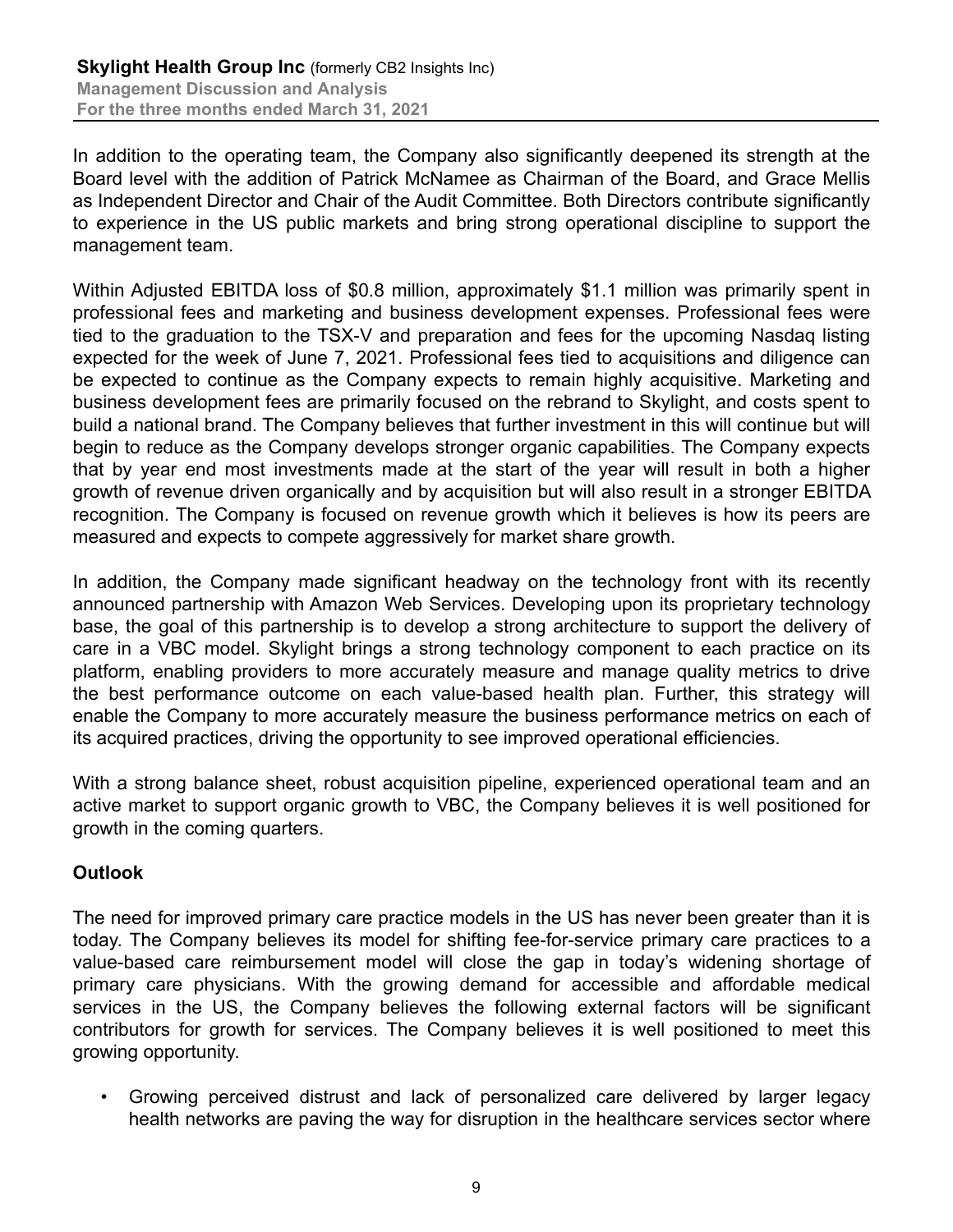In addition to the operating team, the Company also significantly deepened its strength at the Board level with the addition of Patrick McNamee as Chairman of the Board, and Grace Mellis as Independent Director and Chair of the Audit Committee. Both Directors contribute significantly to experience in the US public markets and bring strong operational discipline to support the management team.

Within Adjusted EBITDA loss of \$0.8 million, approximately \$1.1 million was primarily spent in professional fees and marketing and business development expenses. Professional fees were tied to the graduation to the TSX-V and preparation and fees for the upcoming Nasdaq listing expected for the week of June 7, 2021. Professional fees tied to acquisitions and diligence can be expected to continue as the Company expects to remain highly acquisitive. Marketing and business development fees are primarily focused on the rebrand to Skylight, and costs spent to build a national brand. The Company believes that further investment in this will continue but will begin to reduce as the Company develops stronger organic capabilities. The Company expects that by year end most investments made at the start of the year will result in both a higher growth of revenue driven organically and by acquisition but will also result in a stronger EBITDA recognition. The Company is focused on revenue growth which it believes is how its peers are measured and expects to compete aggressively for market share growth.

In addition, the Company made significant headway on the technology front with its recently announced partnership with Amazon Web Services. Developing upon its proprietary technology base, the goal of this partnership is to develop a strong architecture to support the delivery of care in a VBC model. Skylight brings a strong technology component to each practice on its platform, enabling providers to more accurately measure and manage quality metrics to drive the best performance outcome on each value-based health plan. Further, this strategy will enable the Company to more accurately measure the business performance metrics on each of its acquired practices, driving the opportunity to see improved operational efficiencies.

With a strong balance sheet, robust acquisition pipeline, experienced operational team and an active market to support organic growth to VBC, the Company believes it is well positioned for growth in the coming quarters.

# **Outlook**

The need for improved primary care practice models in the US has never been greater than it is today. The Company believes its model for shifting fee-for-service primary care practices to a value-based care reimbursement model will close the gap in today's widening shortage of primary care physicians. With the growing demand for accessible and affordable medical services in the US, the Company believes the following external factors will be significant contributors for growth for services. The Company believes it is well positioned to meet this growing opportunity.

• Growing perceived distrust and lack of personalized care delivered by larger legacy health networks are paving the way for disruption in the healthcare services sector where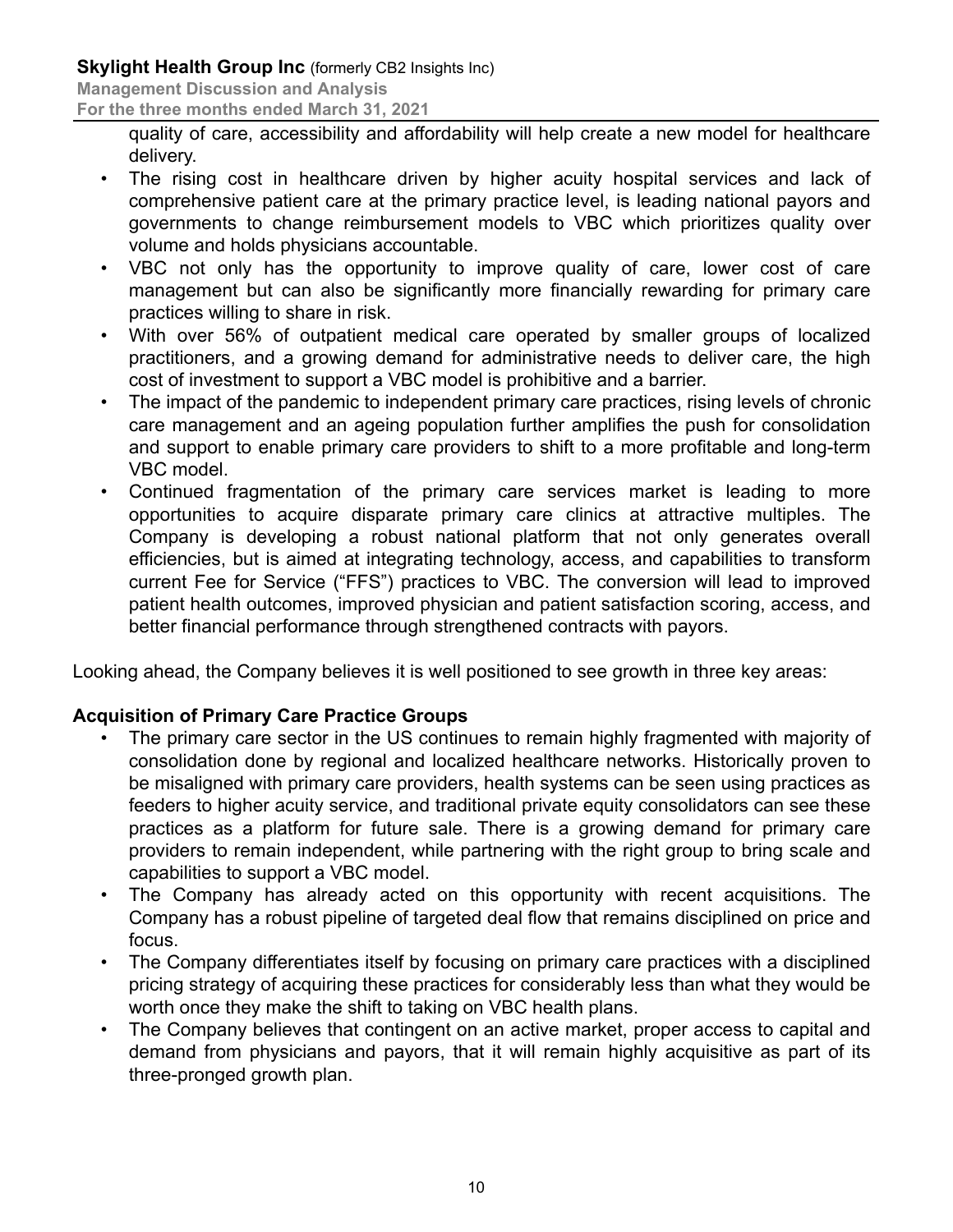**Management Discussion and Analysis**

**For the three months ended March 31, 2021**

quality of care, accessibility and affordability will help create a new model for healthcare delivery.

- The rising cost in healthcare driven by higher acuity hospital services and lack of comprehensive patient care at the primary practice level, is leading national payors and governments to change reimbursement models to VBC which prioritizes quality over volume and holds physicians accountable.
- VBC not only has the opportunity to improve quality of care, lower cost of care management but can also be significantly more financially rewarding for primary care practices willing to share in risk.
- With over 56% of outpatient medical care operated by smaller groups of localized practitioners, and a growing demand for administrative needs to deliver care, the high cost of investment to support a VBC model is prohibitive and a barrier.
- The impact of the pandemic to independent primary care practices, rising levels of chronic care management and an ageing population further amplifies the push for consolidation and support to enable primary care providers to shift to a more profitable and long-term VBC model.
- Continued fragmentation of the primary care services market is leading to more opportunities to acquire disparate primary care clinics at attractive multiples. The Company is developing a robust national platform that not only generates overall efficiencies, but is aimed at integrating technology, access, and capabilities to transform current Fee for Service ("FFS") practices to VBC. The conversion will lead to improved patient health outcomes, improved physician and patient satisfaction scoring, access, and better financial performance through strengthened contracts with payors.

Looking ahead, the Company believes it is well positioned to see growth in three key areas:

# **Acquisition of Primary Care Practice Groups**

- The primary care sector in the US continues to remain highly fragmented with majority of consolidation done by regional and localized healthcare networks. Historically proven to be misaligned with primary care providers, health systems can be seen using practices as feeders to higher acuity service, and traditional private equity consolidators can see these practices as a platform for future sale. There is a growing demand for primary care providers to remain independent, while partnering with the right group to bring scale and capabilities to support a VBC model.
- The Company has already acted on this opportunity with recent acquisitions. The Company has a robust pipeline of targeted deal flow that remains disciplined on price and focus.
- The Company differentiates itself by focusing on primary care practices with a disciplined pricing strategy of acquiring these practices for considerably less than what they would be worth once they make the shift to taking on VBC health plans.
- The Company believes that contingent on an active market, proper access to capital and demand from physicians and payors, that it will remain highly acquisitive as part of its three-pronged growth plan.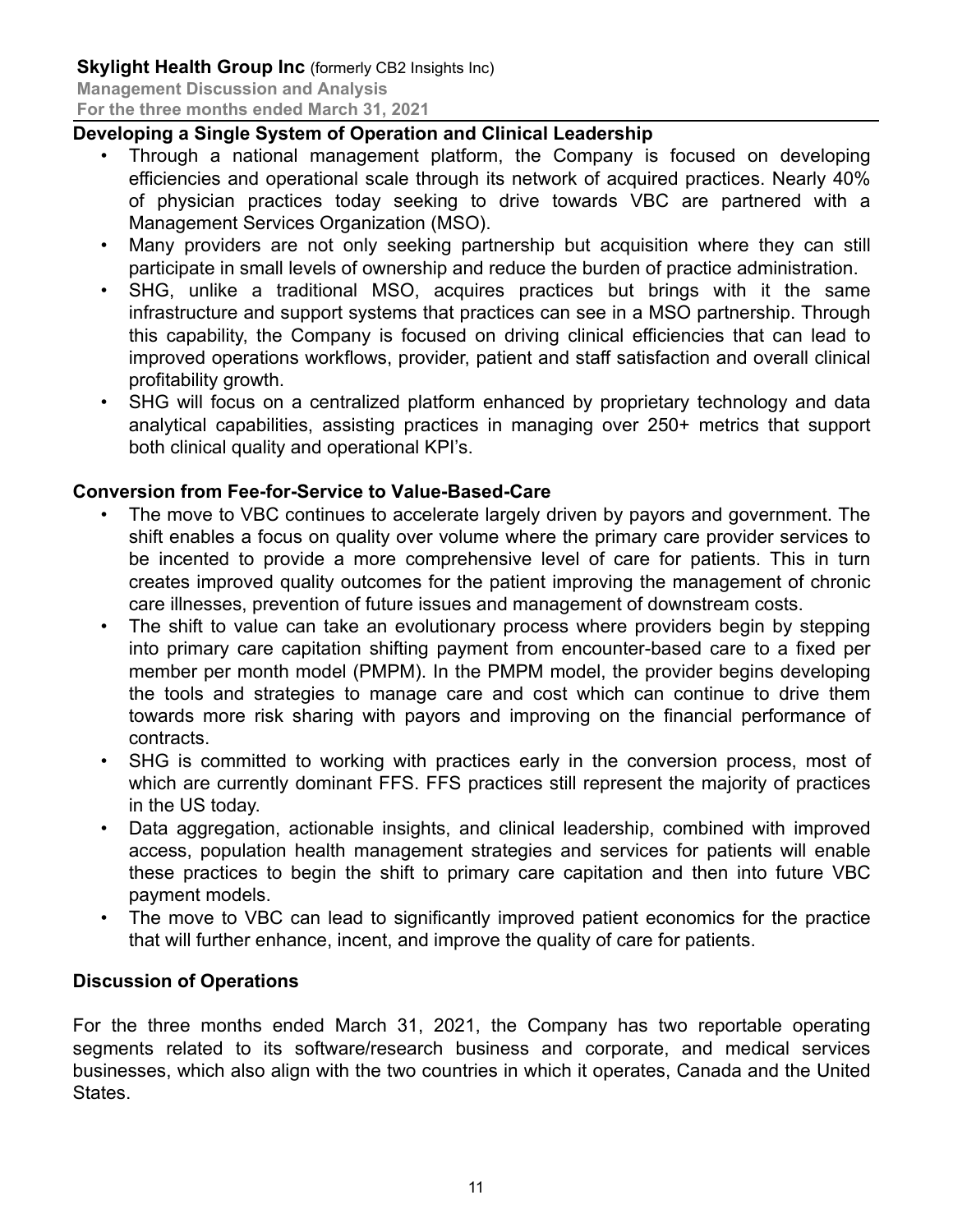### **Developing a Single System of Operation and Clinical Leadership**

- Through a national management platform, the Company is focused on developing efficiencies and operational scale through its network of acquired practices. Nearly 40% of physician practices today seeking to drive towards VBC are partnered with a Management Services Organization (MSO).
- Many providers are not only seeking partnership but acquisition where they can still participate in small levels of ownership and reduce the burden of practice administration.
- SHG, unlike a traditional MSO, acquires practices but brings with it the same infrastructure and support systems that practices can see in a MSO partnership. Through this capability, the Company is focused on driving clinical efficiencies that can lead to improved operations workflows, provider, patient and staff satisfaction and overall clinical profitability growth.
- SHG will focus on a centralized platform enhanced by proprietary technology and data analytical capabilities, assisting practices in managing over 250+ metrics that support both clinical quality and operational KPI's.

### **Conversion from Fee-for-Service to Value-Based-Care**

- The move to VBC continues to accelerate largely driven by payors and government. The shift enables a focus on quality over volume where the primary care provider services to be incented to provide a more comprehensive level of care for patients. This in turn creates improved quality outcomes for the patient improving the management of chronic care illnesses, prevention of future issues and management of downstream costs.
- The shift to value can take an evolutionary process where providers begin by stepping into primary care capitation shifting payment from encounter-based care to a fixed per member per month model (PMPM). In the PMPM model, the provider begins developing the tools and strategies to manage care and cost which can continue to drive them towards more risk sharing with payors and improving on the financial performance of contracts.
- SHG is committed to working with practices early in the conversion process, most of which are currently dominant FFS. FFS practices still represent the majority of practices in the US today.
- Data aggregation, actionable insights, and clinical leadership, combined with improved access, population health management strategies and services for patients will enable these practices to begin the shift to primary care capitation and then into future VBC payment models.
- The move to VBC can lead to significantly improved patient economics for the practice that will further enhance, incent, and improve the quality of care for patients.

#### **Discussion of Operations**

For the three months ended March 31, 2021, the Company has two reportable operating segments related to its software/research business and corporate, and medical services businesses, which also align with the two countries in which it operates, Canada and the United States.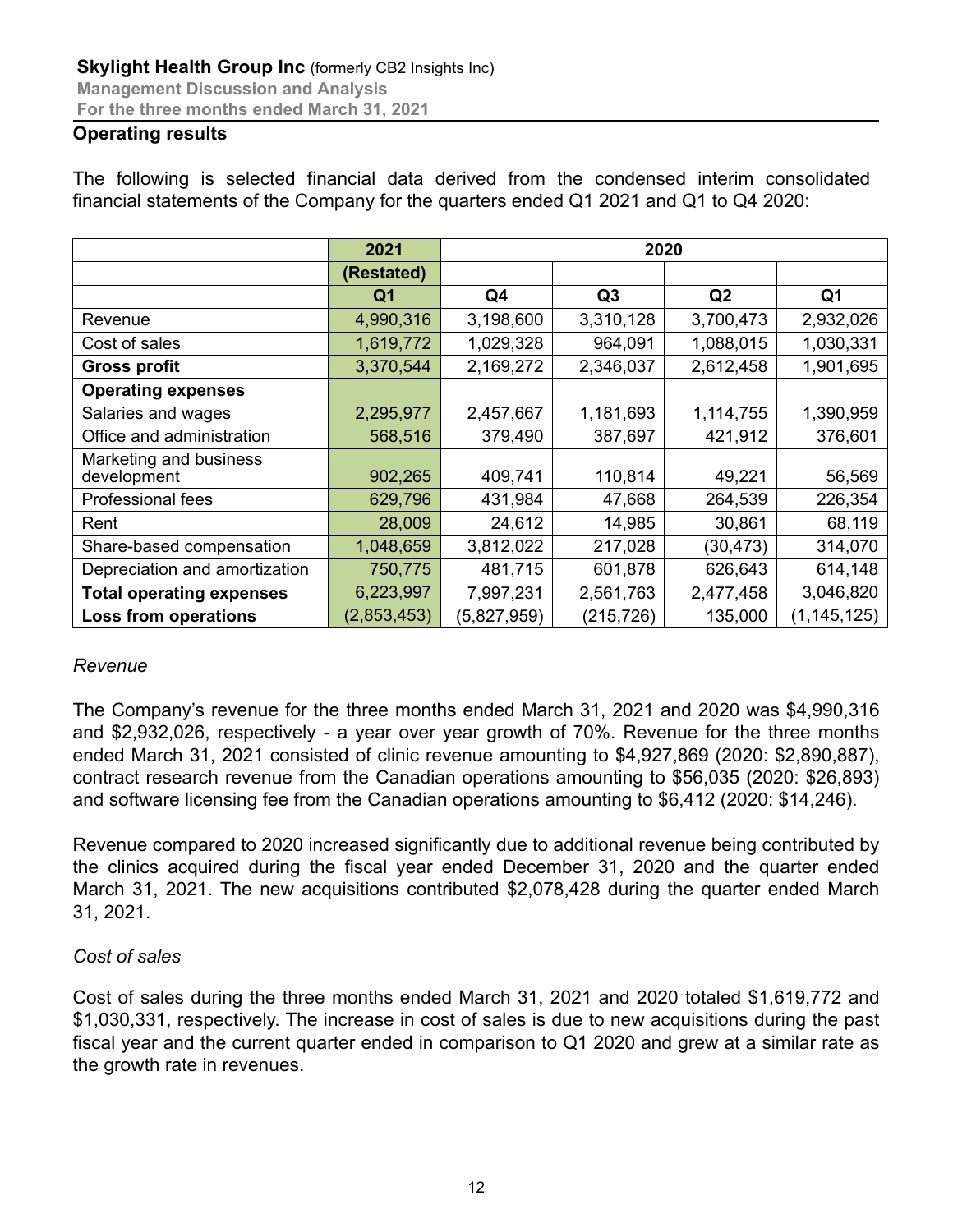#### **Operating results**

|  |  |  |  |                                                                                       | The following is selected financial data derived from the condensed interim consolidated |
|--|--|--|--|---------------------------------------------------------------------------------------|------------------------------------------------------------------------------------------|
|  |  |  |  | financial statements of the Company for the quarters ended Q1 2021 and Q1 to Q4 2020: |                                                                                          |

|                                       | 2021        | 2020        |            |                |               |  |
|---------------------------------------|-------------|-------------|------------|----------------|---------------|--|
|                                       | (Restated)  |             |            |                |               |  |
|                                       | Q1          | Q4          | Q3         | Q <sub>2</sub> | Q1            |  |
| Revenue                               | 4,990,316   | 3,198,600   | 3,310,128  | 3,700,473      | 2,932,026     |  |
| Cost of sales                         | 1,619,772   | 1,029,328   | 964,091    | 1,088,015      | 1,030,331     |  |
| <b>Gross profit</b>                   | 3,370,544   | 2,169,272   | 2,346,037  | 2,612,458      | 1,901,695     |  |
| <b>Operating expenses</b>             |             |             |            |                |               |  |
| Salaries and wages                    | 2,295,977   | 2,457,667   | 1,181,693  | 1,114,755      | 1,390,959     |  |
| Office and administration             | 568,516     | 379,490     | 387,697    | 421,912        | 376,601       |  |
| Marketing and business<br>development | 902,265     | 409,741     | 110,814    | 49,221         | 56,569        |  |
| Professional fees                     | 629,796     | 431,984     | 47,668     | 264,539        | 226,354       |  |
| Rent                                  | 28,009      | 24,612      | 14,985     | 30,861         | 68,119        |  |
| Share-based compensation              | 1,048,659   | 3,812,022   | 217,028    | (30, 473)      | 314,070       |  |
| Depreciation and amortization         | 750,775     | 481,715     | 601,878    | 626,643        | 614,148       |  |
| <b>Total operating expenses</b>       | 6,223,997   | 7,997,231   | 2,561,763  | 2,477,458      | 3,046,820     |  |
| <b>Loss from operations</b>           | (2,853,453) | (5,827,959) | (215, 726) | 135,000        | (1, 145, 125) |  |

#### *Revenue*

The Company's revenue for the three months ended March 31, 2021 and 2020 was \$4,990,316 and \$2,932,026, respectively - a year over year growth of 70%. Revenue for the three months ended March 31, 2021 consisted of clinic revenue amounting to \$4,927,869 (2020: \$2,890,887), contract research revenue from the Canadian operations amounting to \$56,035 (2020: \$26,893) and software licensing fee from the Canadian operations amounting to \$6,412 (2020: \$14,246).

Revenue compared to 2020 increased significantly due to additional revenue being contributed by the clinics acquired during the fiscal year ended December 31, 2020 and the quarter ended March 31, 2021. The new acquisitions contributed \$2,078,428 during the quarter ended March 31, 2021.

#### *Cost of sales*

Cost of sales during the three months ended March 31, 2021 and 2020 totaled \$1,619,772 and \$1,030,331, respectively. The increase in cost of sales is due to new acquisitions during the past fiscal year and the current quarter ended in comparison to Q1 2020 and grew at a similar rate as the growth rate in revenues.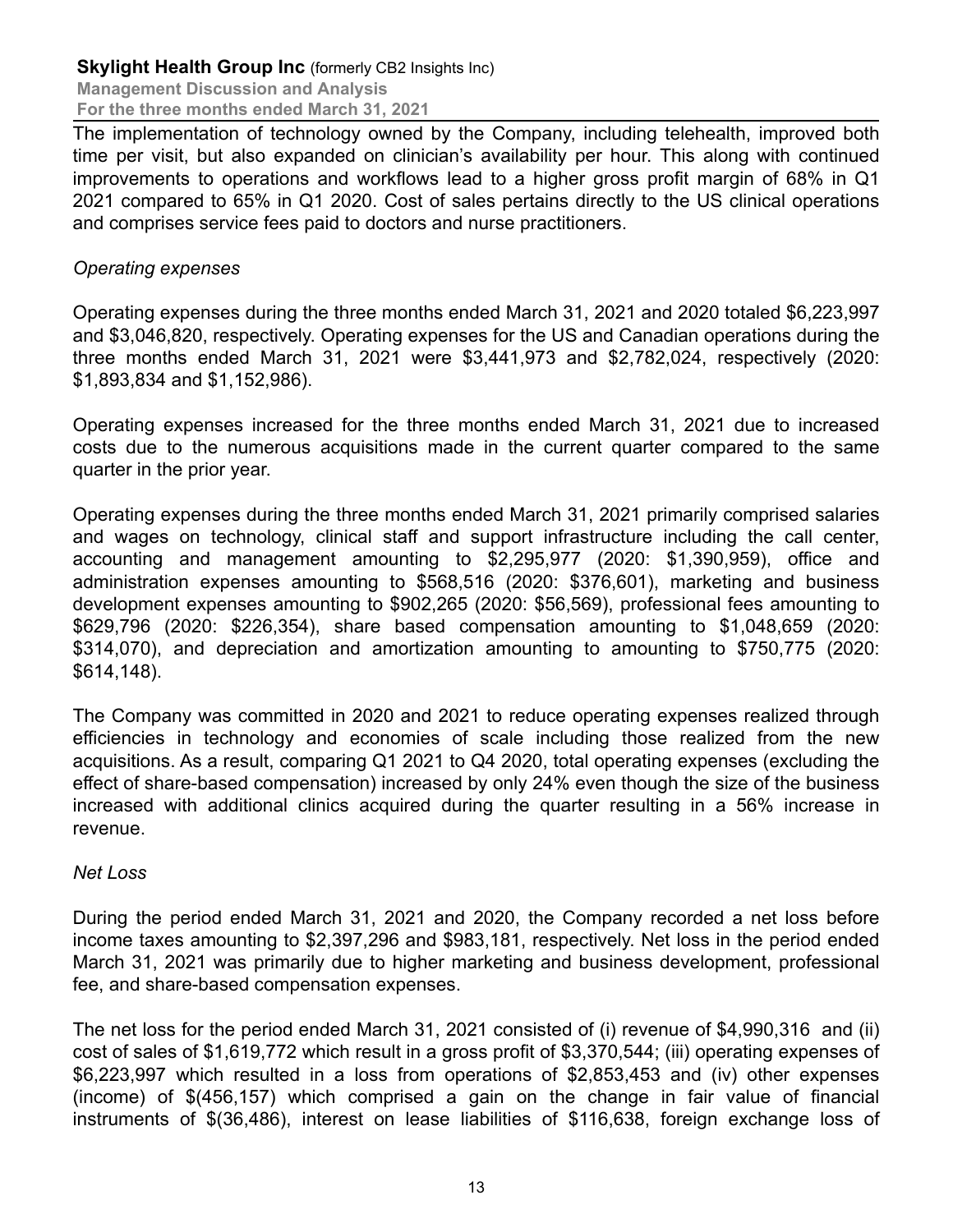#### **Skylight Health Group Inc (formerly CB2 Insights Inc) Management Discussion and Analysis**

**For the three months ended March 31, 2021**

The implementation of technology owned by the Company, including telehealth, improved both time per visit, but also expanded on clinician's availability per hour. This along with continued improvements to operations and workflows lead to a higher gross profit margin of 68% in Q1 2021 compared to 65% in Q1 2020. Cost of sales pertains directly to the US clinical operations and comprises service fees paid to doctors and nurse practitioners.

#### *Operating expenses*

Operating expenses during the three months ended March 31, 2021 and 2020 totaled \$6,223,997 and \$3,046,820, respectively. Operating expenses for the US and Canadian operations during the three months ended March 31, 2021 were \$3,441,973 and \$2,782,024, respectively (2020: \$1,893,834 and \$1,152,986).

Operating expenses increased for the three months ended March 31, 2021 due to increased costs due to the numerous acquisitions made in the current quarter compared to the same quarter in the prior year.

Operating expenses during the three months ended March 31, 2021 primarily comprised salaries and wages on technology, clinical staff and support infrastructure including the call center, accounting and management amounting to \$2,295,977 (2020: \$1,390,959), office and administration expenses amounting to \$568,516 (2020: \$376,601), marketing and business development expenses amounting to \$902,265 (2020: \$56,569), professional fees amounting to \$629,796 (2020: \$226,354), share based compensation amounting to \$1,048,659 (2020: \$314,070), and depreciation and amortization amounting to amounting to \$750,775 (2020: \$614,148).

The Company was committed in 2020 and 2021 to reduce operating expenses realized through efficiencies in technology and economies of scale including those realized from the new acquisitions. As a result, comparing Q1 2021 to Q4 2020, total operating expenses (excluding the effect of share-based compensation) increased by only 24% even though the size of the business increased with additional clinics acquired during the quarter resulting in a 56% increase in revenue.

#### *Net Loss*

During the period ended March 31, 2021 and 2020, the Company recorded a net loss before income taxes amounting to \$2,397,296 and \$983,181, respectively. Net loss in the period ended March 31, 2021 was primarily due to higher marketing and business development, professional fee, and share-based compensation expenses.

The net loss for the period ended March 31, 2021 consisted of (i) revenue of \$4,990,316 and (ii) cost of sales of \$1,619,772 which result in a gross profit of \$3,370,544; (iii) operating expenses of \$6,223,997 which resulted in a loss from operations of \$2,853,453 and (iv) other expenses (income) of \$(456,157) which comprised a gain on the change in fair value of financial instruments of \$(36,486), interest on lease liabilities of \$116,638, foreign exchange loss of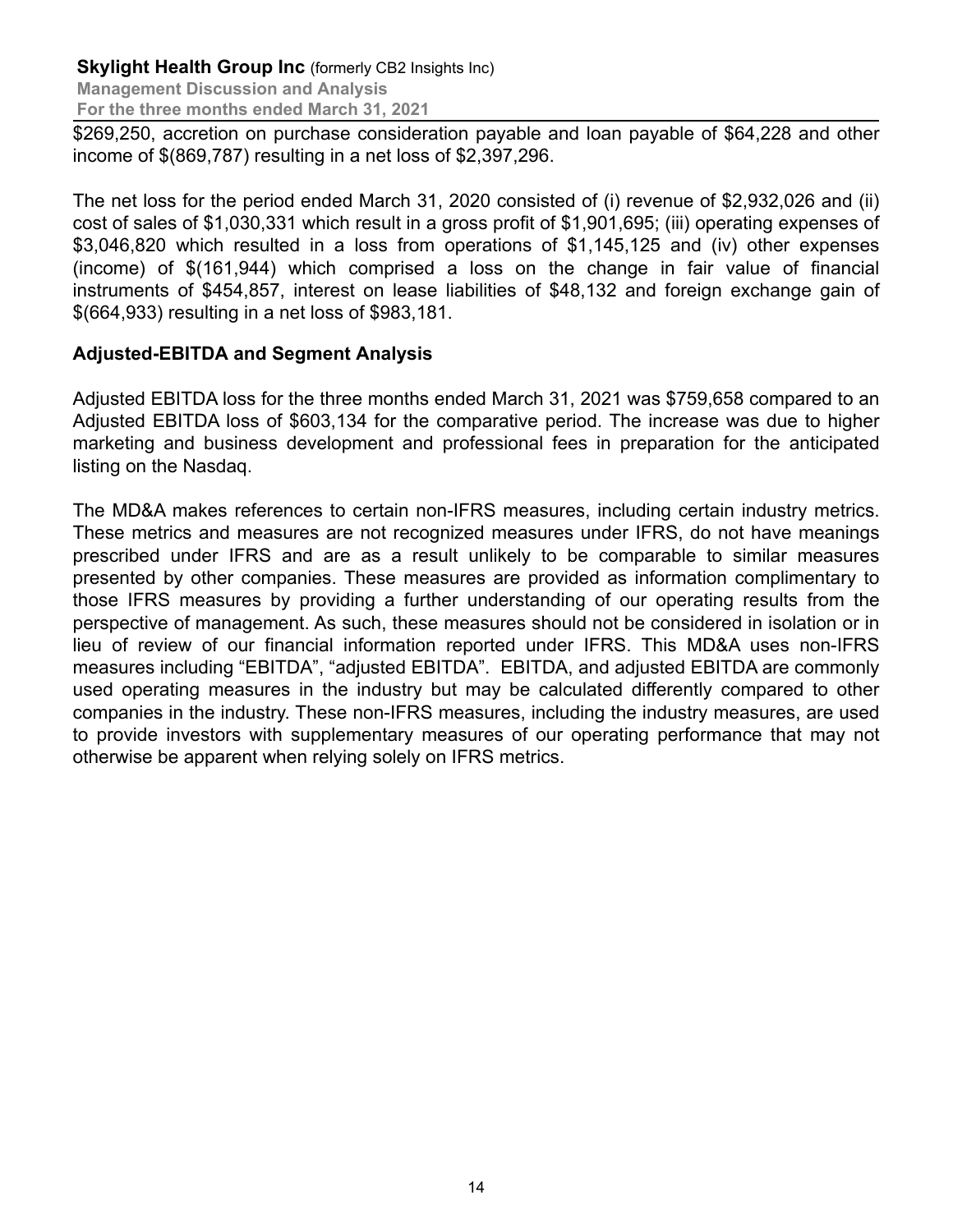**Management Discussion and Analysis For the three months ended March 31, 2021**

\$269,250, accretion on purchase consideration payable and loan payable of \$64,228 and other income of \$(869,787) resulting in a net loss of \$2,397,296.

The net loss for the period ended March 31, 2020 consisted of (i) revenue of \$2,932,026 and (ii) cost of sales of \$1,030,331 which result in a gross profit of \$1,901,695; (iii) operating expenses of \$3,046,820 which resulted in a loss from operations of \$1,145,125 and (iv) other expenses (income) of \$(161,944) which comprised a loss on the change in fair value of financial instruments of \$454,857, interest on lease liabilities of \$48,132 and foreign exchange gain of \$(664,933) resulting in a net loss of \$983,181.

# **Adjusted-EBITDA and Segment Analysis**

Adjusted EBITDA loss for the three months ended March 31, 2021 was \$759,658 compared to an Adjusted EBITDA loss of \$603,134 for the comparative period. The increase was due to higher marketing and business development and professional fees in preparation for the anticipated listing on the Nasdaq.

The MD&A makes references to certain non-IFRS measures, including certain industry metrics. These metrics and measures are not recognized measures under IFRS, do not have meanings prescribed under IFRS and are as a result unlikely to be comparable to similar measures presented by other companies. These measures are provided as information complimentary to those IFRS measures by providing a further understanding of our operating results from the perspective of management. As such, these measures should not be considered in isolation or in lieu of review of our financial information reported under IFRS. This MD&A uses non-IFRS measures including "EBITDA", "adjusted EBITDA". EBITDA, and adjusted EBITDA are commonly used operating measures in the industry but may be calculated differently compared to other companies in the industry. These non-IFRS measures, including the industry measures, are used to provide investors with supplementary measures of our operating performance that may not otherwise be apparent when relying solely on IFRS metrics.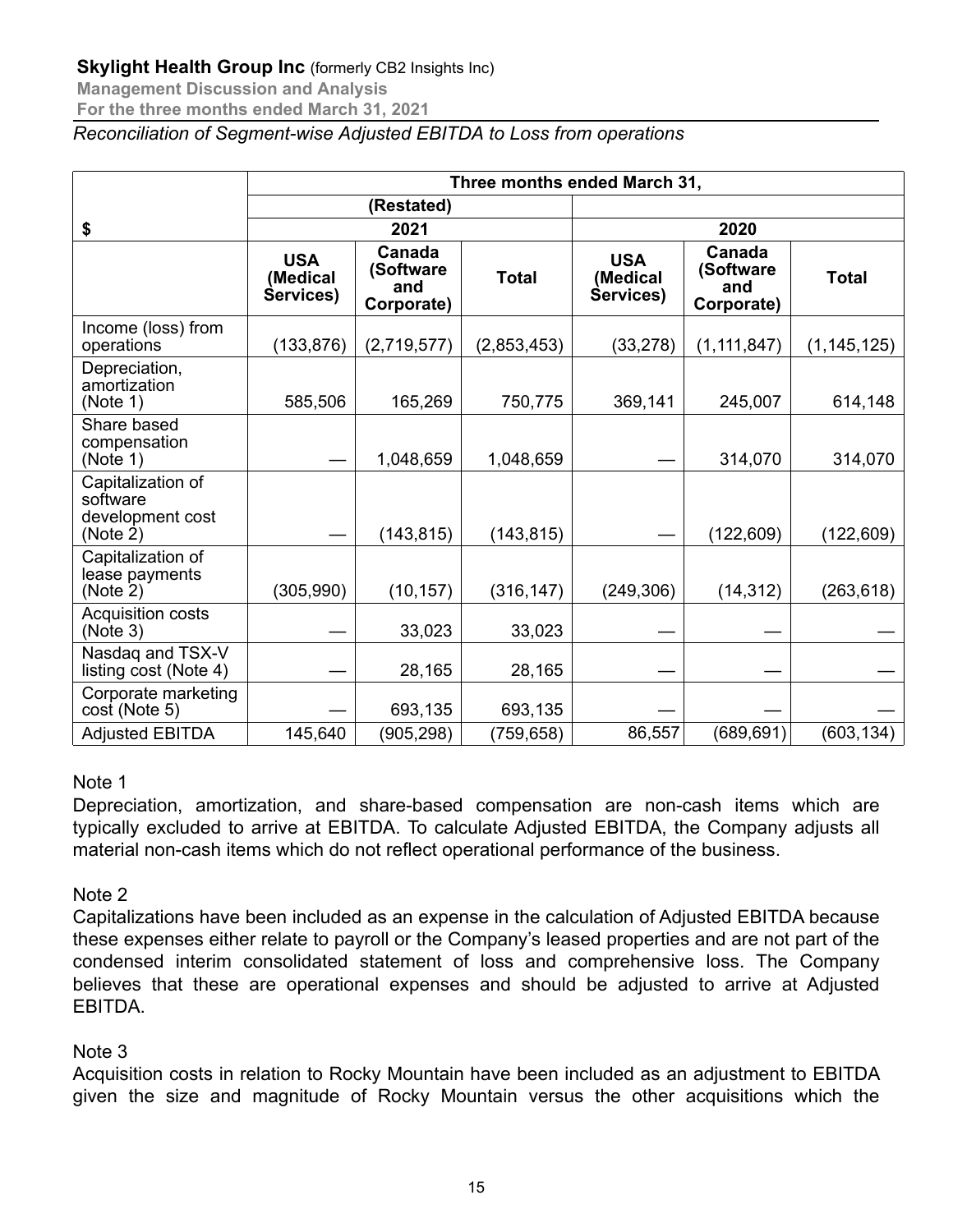**Management Discussion and Analysis**

**For the three months ended March 31, 2021**

*Reconciliation of Segment-wise Adjusted EBITDA to Loss from operations*

|                                                               | Three months ended March 31,        |                                          |              |                                     |                                          |               |  |  |  |
|---------------------------------------------------------------|-------------------------------------|------------------------------------------|--------------|-------------------------------------|------------------------------------------|---------------|--|--|--|
|                                                               | (Restated)                          |                                          |              |                                     |                                          |               |  |  |  |
| \$                                                            |                                     | 2021                                     |              | 2020                                |                                          |               |  |  |  |
|                                                               | <b>USA</b><br>(Medical<br>Services) | Canada<br>(Software<br>and<br>Corporate) | <b>Total</b> | <b>USA</b><br>(Medical<br>Services) | Canada<br>(Software<br>and<br>Corporate) | <b>Total</b>  |  |  |  |
| Income (loss) from<br>operations                              | (133, 876)                          | (2,719,577)                              | (2,853,453)  | (33, 278)                           | (1, 111, 847)                            | (1, 145, 125) |  |  |  |
| Depreciation,<br>amortization<br>(Note 1)                     | 585,506                             | 165,269                                  | 750,775      | 369,141                             | 245,007                                  | 614,148       |  |  |  |
| Share based<br>compensation<br>(Note 1)                       |                                     | 1,048,659                                | 1,048,659    |                                     | 314,070                                  | 314,070       |  |  |  |
| Capitalization of<br>software<br>development cost<br>(Note 2) |                                     | (143, 815)                               | (143, 815)   |                                     | (122, 609)                               | (122, 609)    |  |  |  |
| Capitalization of<br>lease payments<br>(Note 2)               | (305, 990)                          | (10, 157)                                | (316, 147)   | (249, 306)                          | (14, 312)                                | (263, 618)    |  |  |  |
| Acquisition costs<br>(Note 3)                                 |                                     | 33,023                                   | 33,023       |                                     |                                          |               |  |  |  |
| Nasdag and TSX-V<br>listing cost (Note 4)                     |                                     | 28,165                                   | 28,165       |                                     |                                          |               |  |  |  |
| Corporate marketing<br>cost (Note 5)                          |                                     | 693,135                                  | 693,135      |                                     |                                          |               |  |  |  |
| <b>Adjusted EBITDA</b>                                        | 145,640                             | (905, 298)                               | (759,658)    | 86,557                              | (689, 691)                               | (603, 134)    |  |  |  |

#### Note 1

Depreciation, amortization, and share-based compensation are non-cash items which are typically excluded to arrive at EBITDA. To calculate Adjusted EBITDA, the Company adjusts all material non-cash items which do not reflect operational performance of the business.

#### Note 2

Capitalizations have been included as an expense in the calculation of Adjusted EBITDA because these expenses either relate to payroll or the Company's leased properties and are not part of the condensed interim consolidated statement of loss and comprehensive loss. The Company believes that these are operational expenses and should be adjusted to arrive at Adjusted EBITDA.

# Note 3

Acquisition costs in relation to Rocky Mountain have been included as an adjustment to EBITDA given the size and magnitude of Rocky Mountain versus the other acquisitions which the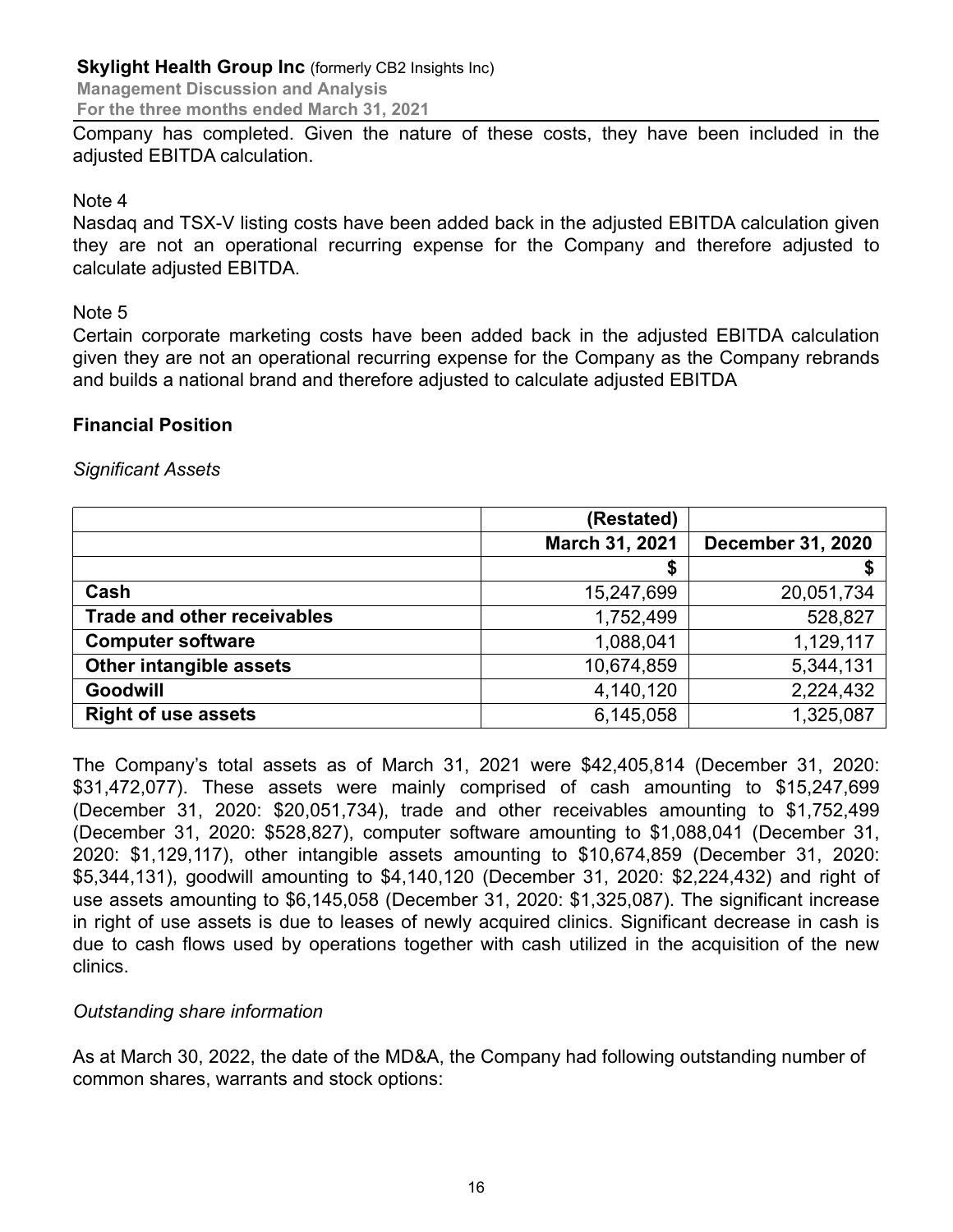**Management Discussion and Analysis For the three months ended March 31, 2021**

Company has completed. Given the nature of these costs, they have been included in the adjusted EBITDA calculation.

#### Note 4

Nasdaq and TSX-V listing costs have been added back in the adjusted EBITDA calculation given they are not an operational recurring expense for the Company and therefore adjusted to calculate adjusted EBITDA.

#### Note 5

Certain corporate marketing costs have been added back in the adjusted EBITDA calculation given they are not an operational recurring expense for the Company as the Company rebrands and builds a national brand and therefore adjusted to calculate adjusted EBITDA

#### **Financial Position**

#### *Significant Assets*

|                                    | (Restated)     |                          |
|------------------------------------|----------------|--------------------------|
|                                    | March 31, 2021 | <b>December 31, 2020</b> |
|                                    | \$             |                          |
| Cash                               | 15,247,699     | 20,051,734               |
| <b>Trade and other receivables</b> | 1,752,499      | 528,827                  |
| <b>Computer software</b>           | 1,088,041      | 1,129,117                |
| Other intangible assets            | 10,674,859     | 5,344,131                |
| Goodwill                           | 4,140,120      | 2,224,432                |
| <b>Right of use assets</b>         | 6,145,058      | 1,325,087                |

The Company's total assets as of March 31, 2021 were \$42,405,814 (December 31, 2020: \$31,472,077). These assets were mainly comprised of cash amounting to \$15,247,699 (December 31, 2020: \$20,051,734), trade and other receivables amounting to \$1,752,499 (December 31, 2020: \$528,827), computer software amounting to \$1,088,041 (December 31, 2020: \$1,129,117), other intangible assets amounting to \$10,674,859 (December 31, 2020: \$5,344,131), goodwill amounting to \$4,140,120 (December 31, 2020: \$2,224,432) and right of use assets amounting to \$6,145,058 (December 31, 2020: \$1,325,087). The significant increase in right of use assets is due to leases of newly acquired clinics. Significant decrease in cash is due to cash flows used by operations together with cash utilized in the acquisition of the new clinics.

#### *Outstanding share information*

As at March 30, 2022, the date of the MD&A, the Company had following outstanding number of common shares, warrants and stock options: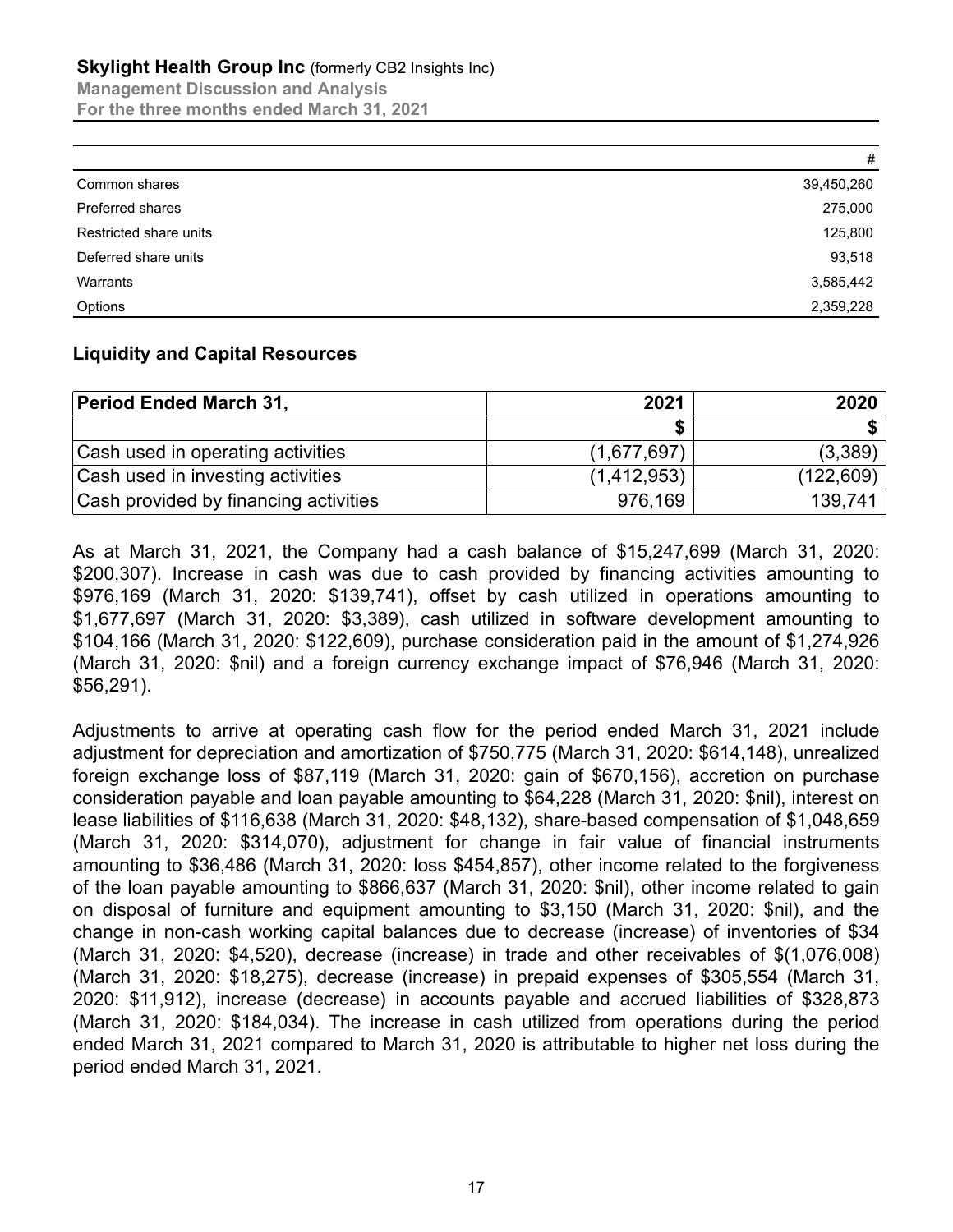**Management Discussion and Analysis For the three months ended March 31, 2021**

|                         | #          |
|-------------------------|------------|
| Common shares           | 39,450,260 |
| <b>Preferred shares</b> | 275,000    |
| Restricted share units  | 125,800    |
| Deferred share units    | 93,518     |
| Warrants                | 3,585,442  |
| Options                 | 2,359,228  |

#### **Liquidity and Capital Resources**

| <b>Period Ended March 31,</b>         | 2021        | 2020       |
|---------------------------------------|-------------|------------|
|                                       |             |            |
| Cash used in operating activities     | (1,677,697) | (3,389)    |
| Cash used in investing activities     | (1,412,953) | (122, 609) |
| Cash provided by financing activities | 976,169     | 139,741    |

As at March 31, 2021, the Company had a cash balance of \$15,247,699 (March 31, 2020: \$200,307). Increase in cash was due to cash provided by financing activities amounting to \$976,169 (March 31, 2020: \$139,741), offset by cash utilized in operations amounting to \$1,677,697 (March 31, 2020: \$3,389), cash utilized in software development amounting to \$104,166 (March 31, 2020: \$122,609), purchase consideration paid in the amount of \$1,274,926 (March 31, 2020: \$nil) and a foreign currency exchange impact of \$76,946 (March 31, 2020: \$56,291).

Adjustments to arrive at operating cash flow for the period ended March 31, 2021 include adjustment for depreciation and amortization of \$750,775 (March 31, 2020: \$614,148), unrealized foreign exchange loss of \$87,119 (March 31, 2020: gain of \$670,156), accretion on purchase consideration payable and loan payable amounting to \$64,228 (March 31, 2020: \$nil), interest on lease liabilities of \$116,638 (March 31, 2020: \$48,132), share-based compensation of \$1,048,659 (March 31, 2020: \$314,070), adjustment for change in fair value of financial instruments amounting to \$36,486 (March 31, 2020: loss \$454,857), other income related to the forgiveness of the loan payable amounting to \$866,637 (March 31, 2020: \$nil), other income related to gain on disposal of furniture and equipment amounting to \$3,150 (March 31, 2020: \$nil), and the change in non-cash working capital balances due to decrease (increase) of inventories of \$34 (March 31, 2020: \$4,520), decrease (increase) in trade and other receivables of \$(1,076,008) (March 31, 2020: \$18,275), decrease (increase) in prepaid expenses of \$305,554 (March 31, 2020: \$11,912), increase (decrease) in accounts payable and accrued liabilities of \$328,873 (March 31, 2020: \$184,034). The increase in cash utilized from operations during the period ended March 31, 2021 compared to March 31, 2020 is attributable to higher net loss during the period ended March 31, 2021.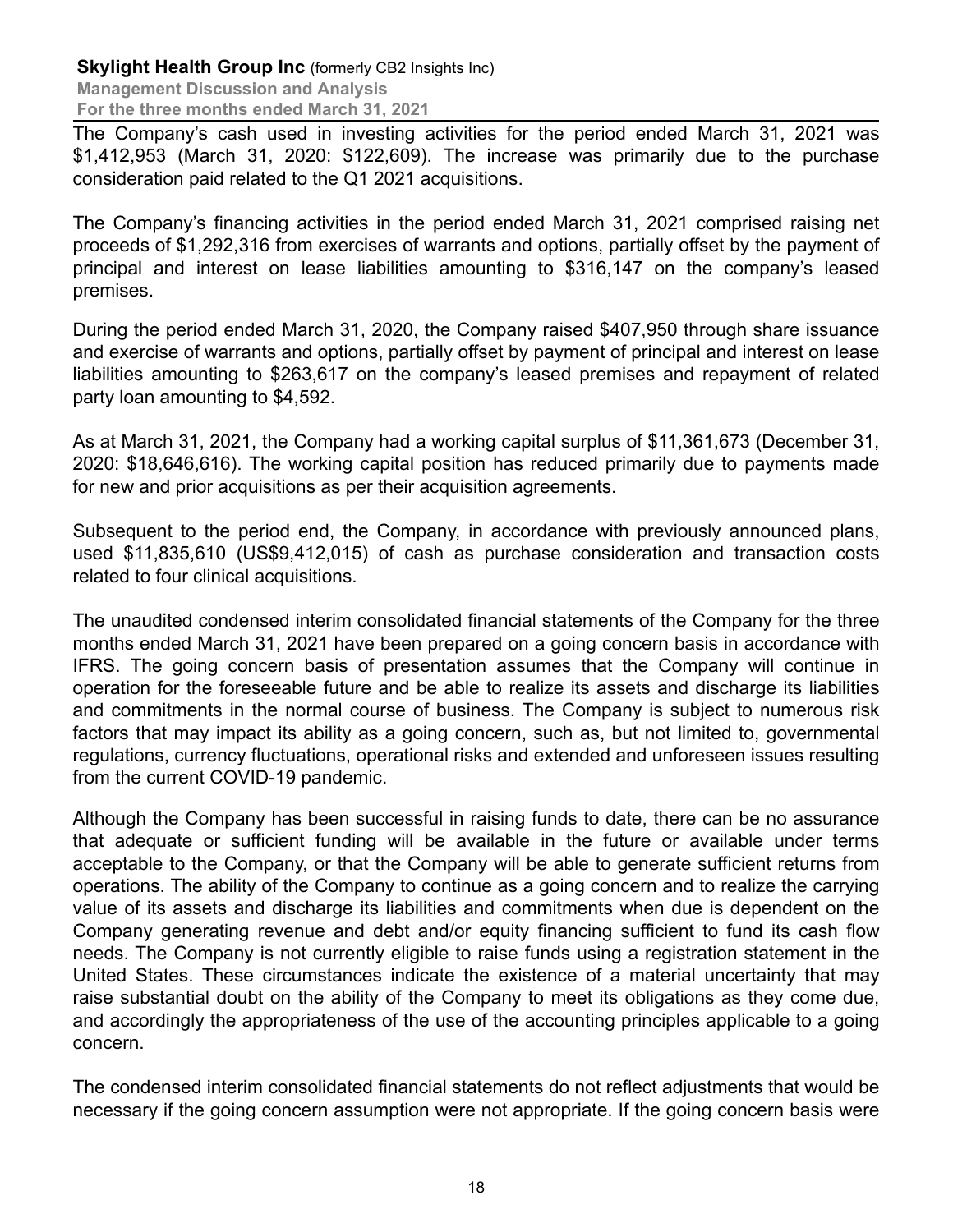The Company's cash used in investing activities for the period ended March 31, 2021 was \$1,412,953 (March 31, 2020: \$122,609). The increase was primarily due to the purchase consideration paid related to the Q1 2021 acquisitions.

The Company's financing activities in the period ended March 31, 2021 comprised raising net proceeds of \$1,292,316 from exercises of warrants and options, partially offset by the payment of principal and interest on lease liabilities amounting to \$316,147 on the company's leased premises.

During the period ended March 31, 2020, the Company raised \$407,950 through share issuance and exercise of warrants and options, partially offset by payment of principal and interest on lease liabilities amounting to \$263,617 on the company's leased premises and repayment of related party loan amounting to \$4,592.

As at March 31, 2021, the Company had a working capital surplus of \$11,361,673 (December 31, 2020: \$18,646,616). The working capital position has reduced primarily due to payments made for new and prior acquisitions as per their acquisition agreements.

Subsequent to the period end, the Company, in accordance with previously announced plans, used \$11,835,610 (US\$9,412,015) of cash as purchase consideration and transaction costs related to four clinical acquisitions.

The unaudited condensed interim consolidated financial statements of the Company for the three months ended March 31, 2021 have been prepared on a going concern basis in accordance with IFRS. The going concern basis of presentation assumes that the Company will continue in operation for the foreseeable future and be able to realize its assets and discharge its liabilities and commitments in the normal course of business. The Company is subject to numerous risk factors that may impact its ability as a going concern, such as, but not limited to, governmental regulations, currency fluctuations, operational risks and extended and unforeseen issues resulting from the current COVID-19 pandemic.

Although the Company has been successful in raising funds to date, there can be no assurance that adequate or sufficient funding will be available in the future or available under terms acceptable to the Company, or that the Company will be able to generate sufficient returns from operations. The ability of the Company to continue as a going concern and to realize the carrying value of its assets and discharge its liabilities and commitments when due is dependent on the Company generating revenue and debt and/or equity financing sufficient to fund its cash flow needs. The Company is not currently eligible to raise funds using a registration statement in the United States. These circumstances indicate the existence of a material uncertainty that may raise substantial doubt on the ability of the Company to meet its obligations as they come due, and accordingly the appropriateness of the use of the accounting principles applicable to a going concern.

The condensed interim consolidated financial statements do not reflect adjustments that would be necessary if the going concern assumption were not appropriate. If the going concern basis were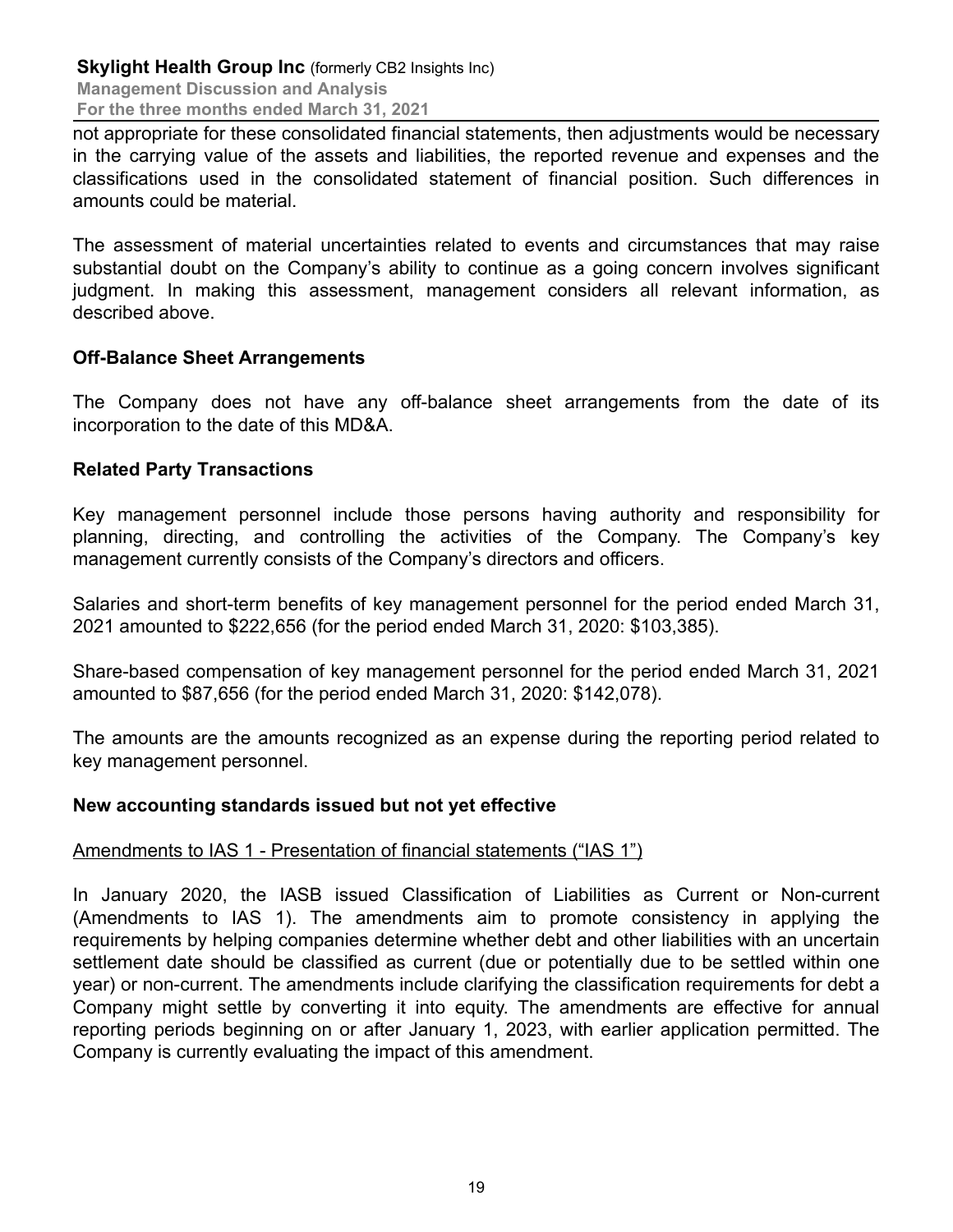not appropriate for these consolidated financial statements, then adjustments would be necessary in the carrying value of the assets and liabilities, the reported revenue and expenses and the classifications used in the consolidated statement of financial position. Such differences in amounts could be material.

The assessment of material uncertainties related to events and circumstances that may raise substantial doubt on the Company's ability to continue as a going concern involves significant judgment. In making this assessment, management considers all relevant information, as described above.

#### **Off-Balance Sheet Arrangements**

The Company does not have any off-balance sheet arrangements from the date of its incorporation to the date of this MD&A.

#### **Related Party Transactions**

Key management personnel include those persons having authority and responsibility for planning, directing, and controlling the activities of the Company. The Company's key management currently consists of the Company's directors and officers.

Salaries and short-term benefits of key management personnel for the period ended March 31, 2021 amounted to \$222,656 (for the period ended March 31, 2020: \$103,385).

Share-based compensation of key management personnel for the period ended March 31, 2021 amounted to \$87,656 (for the period ended March 31, 2020: \$142,078).

The amounts are the amounts recognized as an expense during the reporting period related to key management personnel.

#### **New accounting standards issued but not yet effective**

# Amendments to IAS 1 - Presentation of financial statements ("IAS 1")

In January 2020, the IASB issued Classification of Liabilities as Current or Non-current (Amendments to IAS 1). The amendments aim to promote consistency in applying the requirements by helping companies determine whether debt and other liabilities with an uncertain settlement date should be classified as current (due or potentially due to be settled within one year) or non-current. The amendments include clarifying the classification requirements for debt a Company might settle by converting it into equity. The amendments are effective for annual reporting periods beginning on or after January 1, 2023, with earlier application permitted. The Company is currently evaluating the impact of this amendment.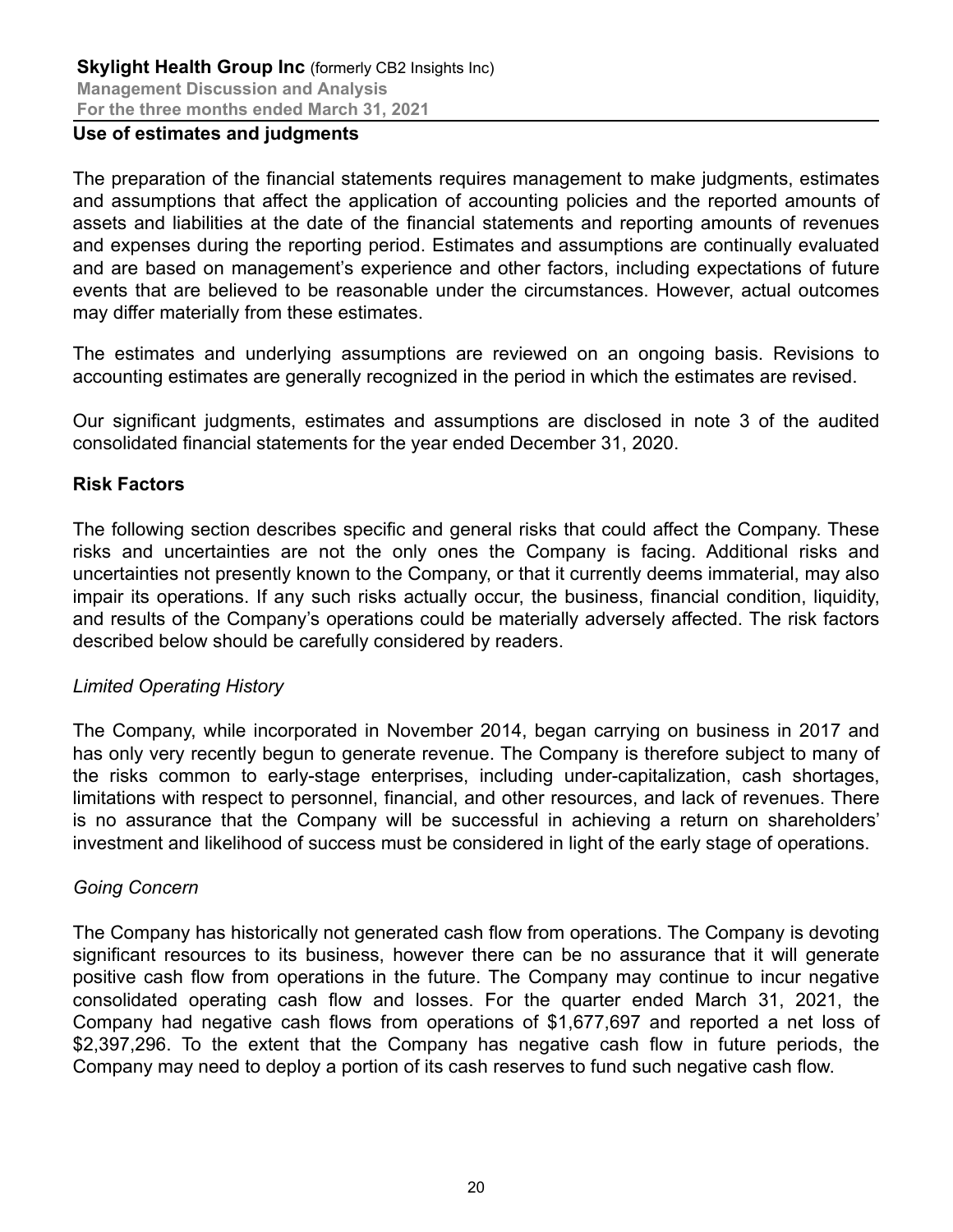#### **Use of estimates and judgments**

The preparation of the financial statements requires management to make judgments, estimates and assumptions that affect the application of accounting policies and the reported amounts of assets and liabilities at the date of the financial statements and reporting amounts of revenues and expenses during the reporting period. Estimates and assumptions are continually evaluated and are based on management's experience and other factors, including expectations of future events that are believed to be reasonable under the circumstances. However, actual outcomes may differ materially from these estimates.

The estimates and underlying assumptions are reviewed on an ongoing basis. Revisions to accounting estimates are generally recognized in the period in which the estimates are revised.

Our significant judgments, estimates and assumptions are disclosed in note 3 of the audited consolidated financial statements for the year ended December 31, 2020.

#### **Risk Factors**

The following section describes specific and general risks that could affect the Company. These risks and uncertainties are not the only ones the Company is facing. Additional risks and uncertainties not presently known to the Company, or that it currently deems immaterial, may also impair its operations. If any such risks actually occur, the business, financial condition, liquidity, and results of the Company's operations could be materially adversely affected. The risk factors described below should be carefully considered by readers.

#### *Limited Operating History*

The Company, while incorporated in November 2014, began carrying on business in 2017 and has only very recently begun to generate revenue. The Company is therefore subject to many of the risks common to early-stage enterprises, including under-capitalization, cash shortages, limitations with respect to personnel, financial, and other resources, and lack of revenues. There is no assurance that the Company will be successful in achieving a return on shareholders' investment and likelihood of success must be considered in light of the early stage of operations.

#### *Going Concern*

The Company has historically not generated cash flow from operations. The Company is devoting significant resources to its business, however there can be no assurance that it will generate positive cash flow from operations in the future. The Company may continue to incur negative consolidated operating cash flow and losses. For the quarter ended March 31, 2021, the Company had negative cash flows from operations of \$1,677,697 and reported a net loss of \$2,397,296. To the extent that the Company has negative cash flow in future periods, the Company may need to deploy a portion of its cash reserves to fund such negative cash flow.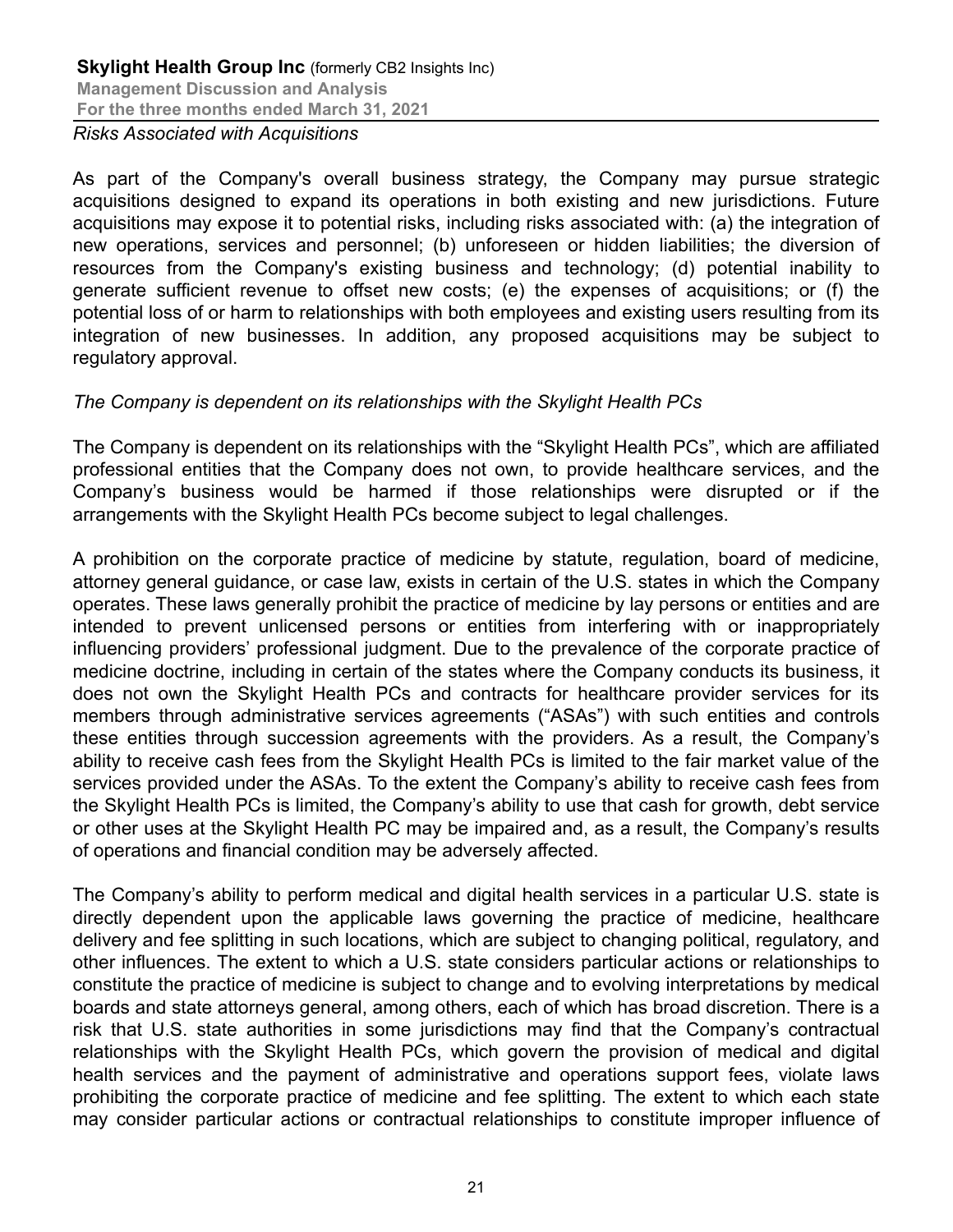*Risks Associated with Acquisitions*

As part of the Company's overall business strategy, the Company may pursue strategic acquisitions designed to expand its operations in both existing and new jurisdictions. Future acquisitions may expose it to potential risks, including risks associated with: (a) the integration of new operations, services and personnel; (b) unforeseen or hidden liabilities; the diversion of resources from the Company's existing business and technology; (d) potential inability to generate sufficient revenue to offset new costs; (e) the expenses of acquisitions; or (f) the potential loss of or harm to relationships with both employees and existing users resulting from its integration of new businesses. In addition, any proposed acquisitions may be subject to regulatory approval.

#### *The Company is dependent on its relationships with the Skylight Health PCs*

The Company is dependent on its relationships with the "Skylight Health PCs", which are affiliated professional entities that the Company does not own, to provide healthcare services, and the Company's business would be harmed if those relationships were disrupted or if the arrangements with the Skylight Health PCs become subject to legal challenges.

A prohibition on the corporate practice of medicine by statute, regulation, board of medicine, attorney general guidance, or case law, exists in certain of the U.S. states in which the Company operates. These laws generally prohibit the practice of medicine by lay persons or entities and are intended to prevent unlicensed persons or entities from interfering with or inappropriately influencing providers' professional judgment. Due to the prevalence of the corporate practice of medicine doctrine, including in certain of the states where the Company conducts its business, it does not own the Skylight Health PCs and contracts for healthcare provider services for its members through administrative services agreements ("ASAs") with such entities and controls these entities through succession agreements with the providers. As a result, the Company's ability to receive cash fees from the Skylight Health PCs is limited to the fair market value of the services provided under the ASAs. To the extent the Company's ability to receive cash fees from the Skylight Health PCs is limited, the Company's ability to use that cash for growth, debt service or other uses at the Skylight Health PC may be impaired and, as a result, the Company's results of operations and financial condition may be adversely affected.

The Company's ability to perform medical and digital health services in a particular U.S. state is directly dependent upon the applicable laws governing the practice of medicine, healthcare delivery and fee splitting in such locations, which are subject to changing political, regulatory, and other influences. The extent to which a U.S. state considers particular actions or relationships to constitute the practice of medicine is subject to change and to evolving interpretations by medical boards and state attorneys general, among others, each of which has broad discretion. There is a risk that U.S. state authorities in some jurisdictions may find that the Company's contractual relationships with the Skylight Health PCs, which govern the provision of medical and digital health services and the payment of administrative and operations support fees, violate laws prohibiting the corporate practice of medicine and fee splitting. The extent to which each state may consider particular actions or contractual relationships to constitute improper influence of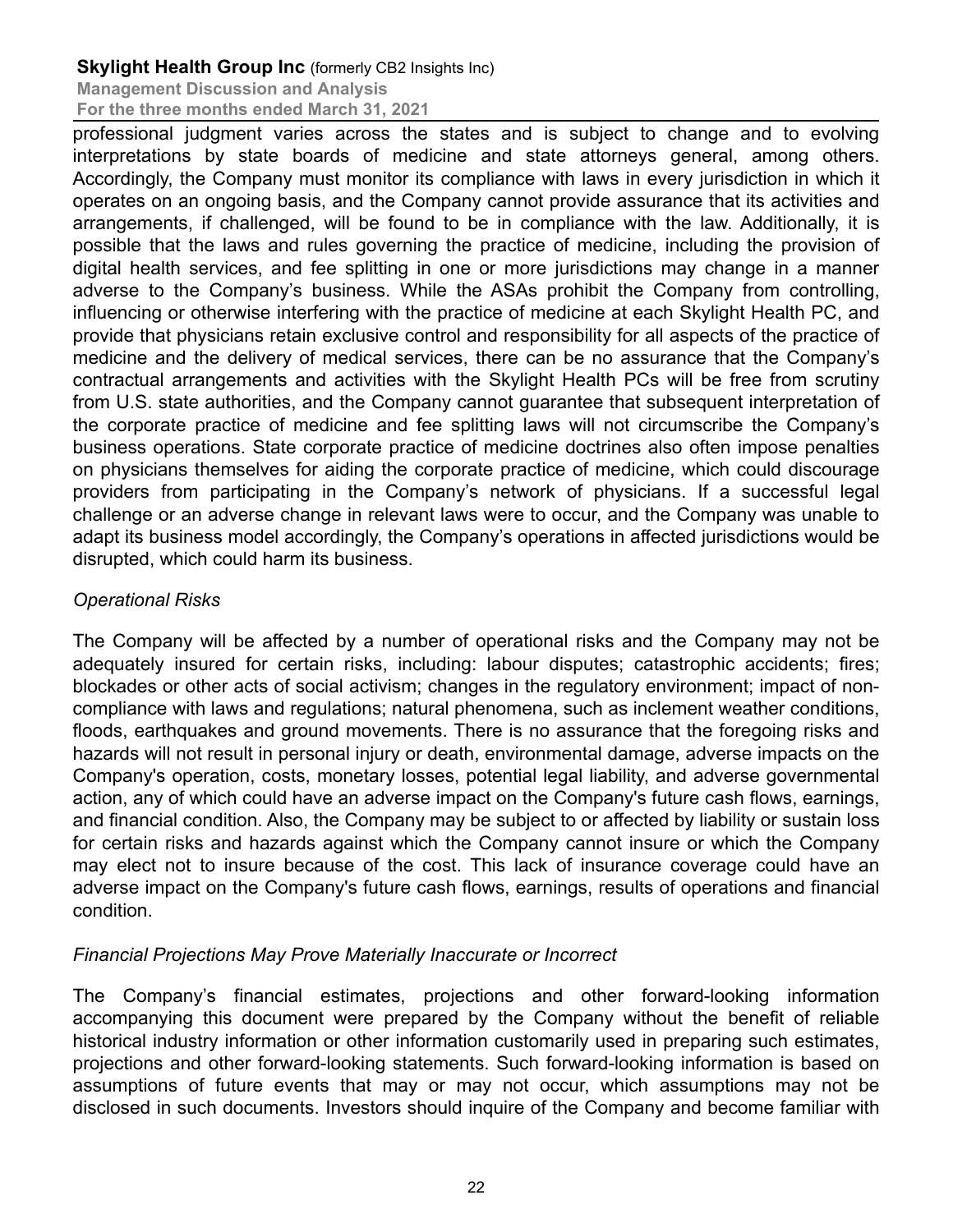**Management Discussion and Analysis For the three months ended March 31, 2021**

professional judgment varies across the states and is subject to change and to evolving interpretations by state boards of medicine and state attorneys general, among others. Accordingly, the Company must monitor its compliance with laws in every jurisdiction in which it operates on an ongoing basis, and the Company cannot provide assurance that its activities and arrangements, if challenged, will be found to be in compliance with the law. Additionally, it is possible that the laws and rules governing the practice of medicine, including the provision of digital health services, and fee splitting in one or more jurisdictions may change in a manner adverse to the Company's business. While the ASAs prohibit the Company from controlling, influencing or otherwise interfering with the practice of medicine at each Skylight Health PC, and provide that physicians retain exclusive control and responsibility for all aspects of the practice of medicine and the delivery of medical services, there can be no assurance that the Company's contractual arrangements and activities with the Skylight Health PCs will be free from scrutiny from U.S. state authorities, and the Company cannot guarantee that subsequent interpretation of the corporate practice of medicine and fee splitting laws will not circumscribe the Company's business operations. State corporate practice of medicine doctrines also often impose penalties on physicians themselves for aiding the corporate practice of medicine, which could discourage providers from participating in the Company's network of physicians. If a successful legal challenge or an adverse change in relevant laws were to occur, and the Company was unable to adapt its business model accordingly, the Company's operations in affected jurisdictions would be disrupted, which could harm its business.

# *Operational Risks*

The Company will be affected by a number of operational risks and the Company may not be adequately insured for certain risks, including: labour disputes; catastrophic accidents; fires; blockades or other acts of social activism; changes in the regulatory environment; impact of noncompliance with laws and regulations; natural phenomena, such as inclement weather conditions, floods, earthquakes and ground movements. There is no assurance that the foregoing risks and hazards will not result in personal injury or death, environmental damage, adverse impacts on the Company's operation, costs, monetary losses, potential legal liability, and adverse governmental action, any of which could have an adverse impact on the Company's future cash flows, earnings, and financial condition. Also, the Company may be subject to or affected by liability or sustain loss for certain risks and hazards against which the Company cannot insure or which the Company may elect not to insure because of the cost. This lack of insurance coverage could have an adverse impact on the Company's future cash flows, earnings, results of operations and financial condition.

# *Financial Projections May Prove Materially Inaccurate or Incorrect*

The Company's financial estimates, projections and other forward-looking information accompanying this document were prepared by the Company without the benefit of reliable historical industry information or other information customarily used in preparing such estimates, projections and other forward-looking statements. Such forward-looking information is based on assumptions of future events that may or may not occur, which assumptions may not be disclosed in such documents. Investors should inquire of the Company and become familiar with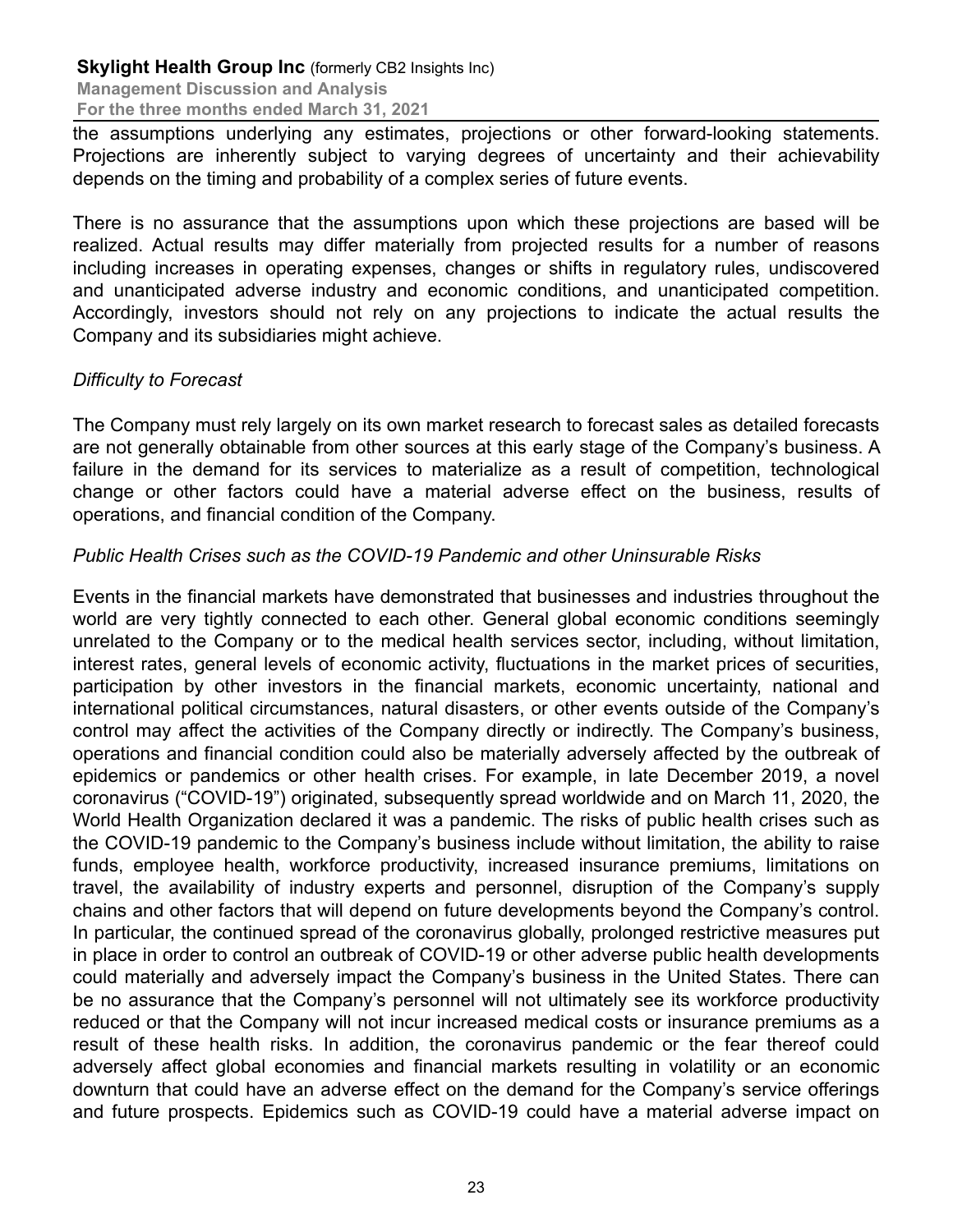the assumptions underlying any estimates, projections or other forward-looking statements. Projections are inherently subject to varying degrees of uncertainty and their achievability depends on the timing and probability of a complex series of future events.

There is no assurance that the assumptions upon which these projections are based will be realized. Actual results may differ materially from projected results for a number of reasons including increases in operating expenses, changes or shifts in regulatory rules, undiscovered and unanticipated adverse industry and economic conditions, and unanticipated competition. Accordingly, investors should not rely on any projections to indicate the actual results the Company and its subsidiaries might achieve.

### *Difficulty to Forecast*

The Company must rely largely on its own market research to forecast sales as detailed forecasts are not generally obtainable from other sources at this early stage of the Company's business. A failure in the demand for its services to materialize as a result of competition, technological change or other factors could have a material adverse effect on the business, results of operations, and financial condition of the Company.

### *Public Health Crises such as the COVID-19 Pandemic and other Uninsurable Risks*

Events in the financial markets have demonstrated that businesses and industries throughout the world are very tightly connected to each other. General global economic conditions seemingly unrelated to the Company or to the medical health services sector, including, without limitation, interest rates, general levels of economic activity, fluctuations in the market prices of securities, participation by other investors in the financial markets, economic uncertainty, national and international political circumstances, natural disasters, or other events outside of the Company's control may affect the activities of the Company directly or indirectly. The Company's business, operations and financial condition could also be materially adversely affected by the outbreak of epidemics or pandemics or other health crises. For example, in late December 2019, a novel coronavirus ("COVID-19") originated, subsequently spread worldwide and on March 11, 2020, the World Health Organization declared it was a pandemic. The risks of public health crises such as the COVID-19 pandemic to the Company's business include without limitation, the ability to raise funds, employee health, workforce productivity, increased insurance premiums, limitations on travel, the availability of industry experts and personnel, disruption of the Company's supply chains and other factors that will depend on future developments beyond the Company's control. In particular, the continued spread of the coronavirus globally, prolonged restrictive measures put in place in order to control an outbreak of COVID-19 or other adverse public health developments could materially and adversely impact the Company's business in the United States. There can be no assurance that the Company's personnel will not ultimately see its workforce productivity reduced or that the Company will not incur increased medical costs or insurance premiums as a result of these health risks. In addition, the coronavirus pandemic or the fear thereof could adversely affect global economies and financial markets resulting in volatility or an economic downturn that could have an adverse effect on the demand for the Company's service offerings and future prospects. Epidemics such as COVID-19 could have a material adverse impact on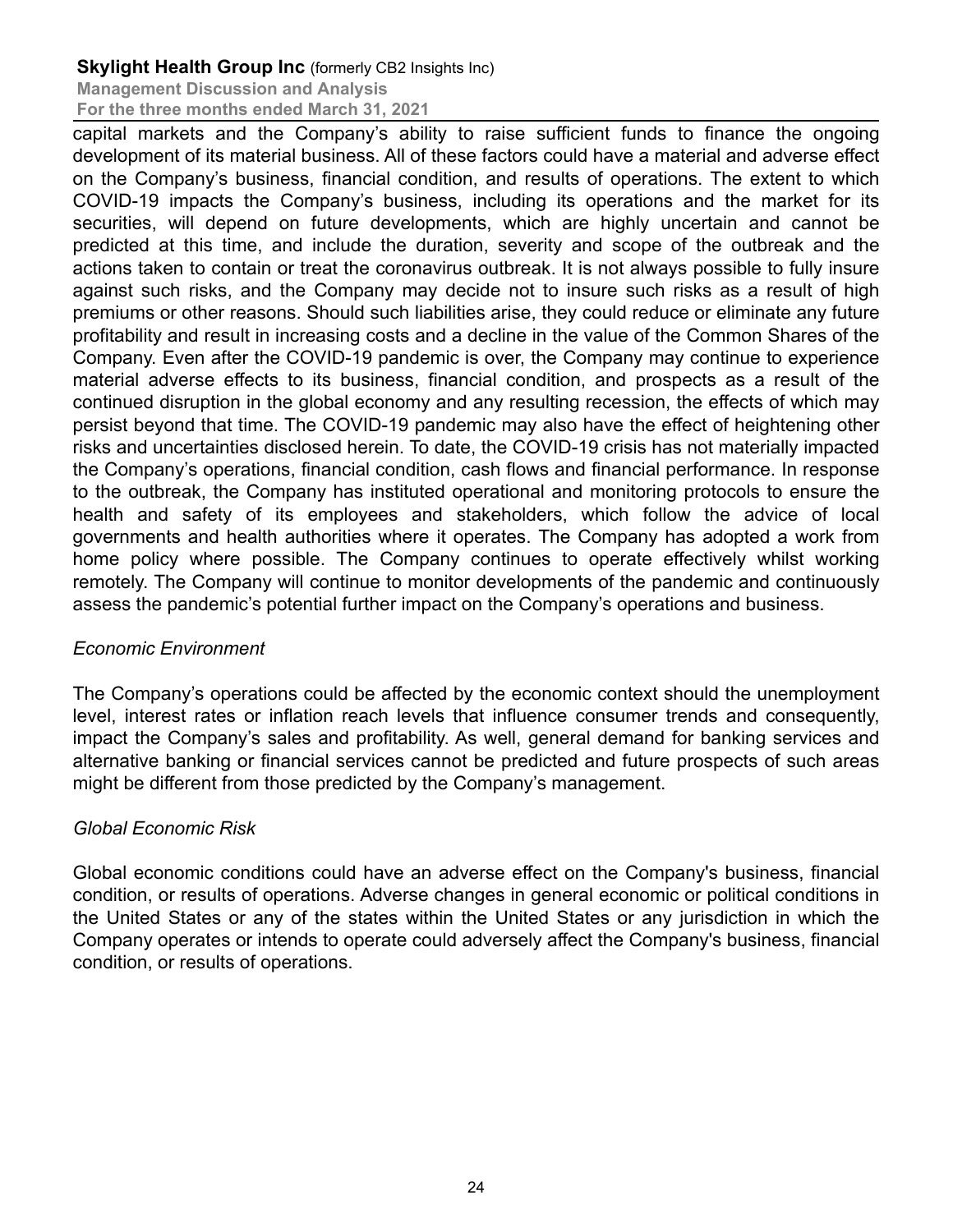**Management Discussion and Analysis For the three months ended March 31, 2021**

capital markets and the Company's ability to raise sufficient funds to finance the ongoing development of its material business. All of these factors could have a material and adverse effect on the Company's business, financial condition, and results of operations. The extent to which COVID-19 impacts the Company's business, including its operations and the market for its securities, will depend on future developments, which are highly uncertain and cannot be predicted at this time, and include the duration, severity and scope of the outbreak and the actions taken to contain or treat the coronavirus outbreak. It is not always possible to fully insure against such risks, and the Company may decide not to insure such risks as a result of high premiums or other reasons. Should such liabilities arise, they could reduce or eliminate any future profitability and result in increasing costs and a decline in the value of the Common Shares of the Company. Even after the COVID-19 pandemic is over, the Company may continue to experience material adverse effects to its business, financial condition, and prospects as a result of the continued disruption in the global economy and any resulting recession, the effects of which may persist beyond that time. The COVID-19 pandemic may also have the effect of heightening other risks and uncertainties disclosed herein. To date, the COVID-19 crisis has not materially impacted the Company's operations, financial condition, cash flows and financial performance. In response to the outbreak, the Company has instituted operational and monitoring protocols to ensure the health and safety of its employees and stakeholders, which follow the advice of local governments and health authorities where it operates. The Company has adopted a work from home policy where possible. The Company continues to operate effectively whilst working remotely. The Company will continue to monitor developments of the pandemic and continuously assess the pandemic's potential further impact on the Company's operations and business.

# *Economic Environment*

The Company's operations could be affected by the economic context should the unemployment level, interest rates or inflation reach levels that influence consumer trends and consequently, impact the Company's sales and profitability. As well, general demand for banking services and alternative banking or financial services cannot be predicted and future prospects of such areas might be different from those predicted by the Company's management.

# *Global Economic Risk*

Global economic conditions could have an adverse effect on the Company's business, financial condition, or results of operations. Adverse changes in general economic or political conditions in the United States or any of the states within the United States or any jurisdiction in which the Company operates or intends to operate could adversely affect the Company's business, financial condition, or results of operations.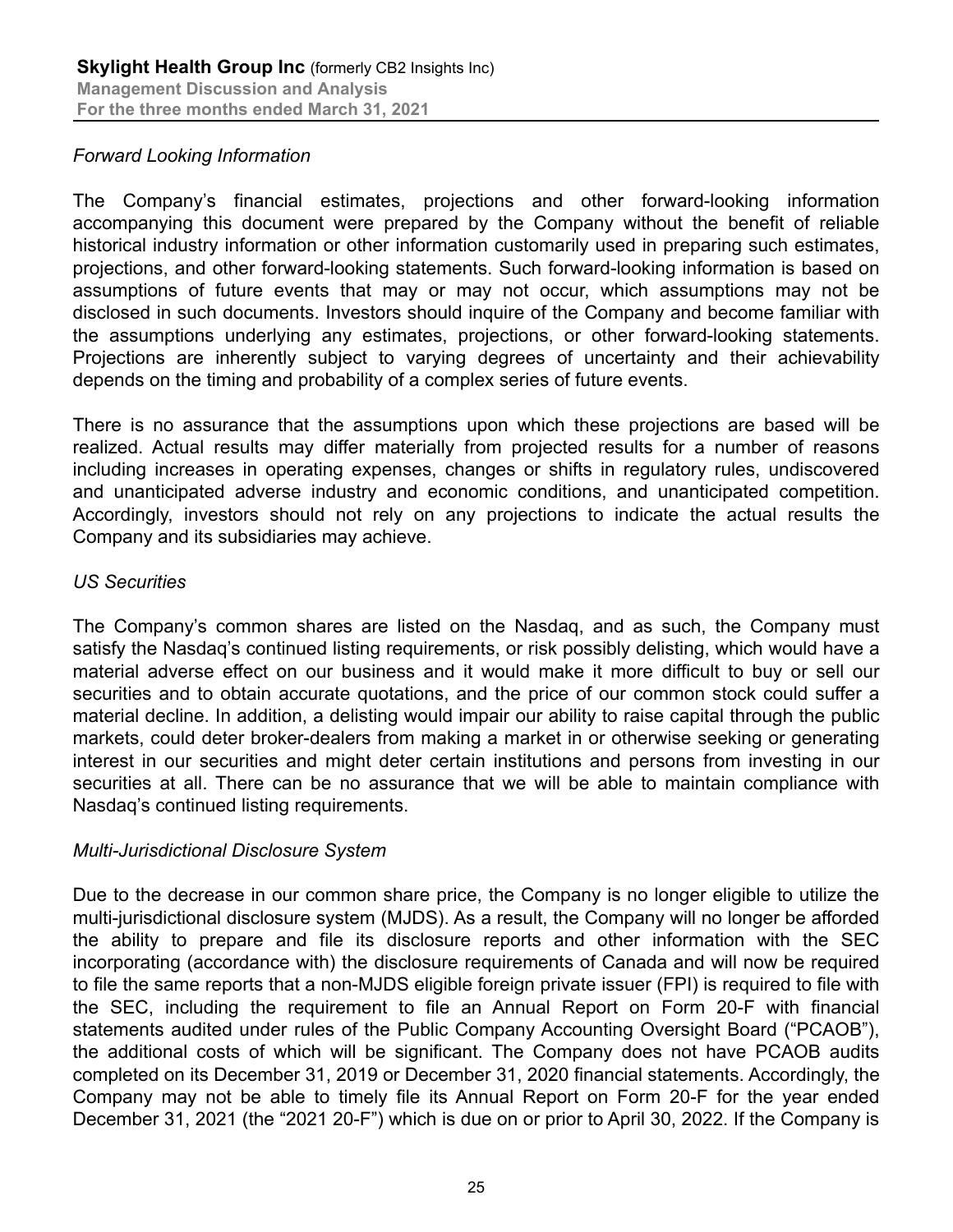### *Forward Looking Information*

The Company's financial estimates, projections and other forward-looking information accompanying this document were prepared by the Company without the benefit of reliable historical industry information or other information customarily used in preparing such estimates, projections, and other forward-looking statements. Such forward-looking information is based on assumptions of future events that may or may not occur, which assumptions may not be disclosed in such documents. Investors should inquire of the Company and become familiar with the assumptions underlying any estimates, projections, or other forward-looking statements. Projections are inherently subject to varying degrees of uncertainty and their achievability depends on the timing and probability of a complex series of future events.

There is no assurance that the assumptions upon which these projections are based will be realized. Actual results may differ materially from projected results for a number of reasons including increases in operating expenses, changes or shifts in regulatory rules, undiscovered and unanticipated adverse industry and economic conditions, and unanticipated competition. Accordingly, investors should not rely on any projections to indicate the actual results the Company and its subsidiaries may achieve.

#### *US Securities*

The Company's common shares are listed on the Nasdaq, and as such, the Company must satisfy the Nasdaq's continued listing requirements, or risk possibly delisting, which would have a material adverse effect on our business and it would make it more difficult to buy or sell our securities and to obtain accurate quotations, and the price of our common stock could suffer a material decline. In addition, a delisting would impair our ability to raise capital through the public markets, could deter broker-dealers from making a market in or otherwise seeking or generating interest in our securities and might deter certain institutions and persons from investing in our securities at all. There can be no assurance that we will be able to maintain compliance with Nasdaq's continued listing requirements.

#### *Multi-Jurisdictional Disclosure System*

Due to the decrease in our common share price, the Company is no longer eligible to utilize the multi-jurisdictional disclosure system (MJDS). As a result, the Company will no longer be afforded the ability to prepare and file its disclosure reports and other information with the SEC incorporating (accordance with) the disclosure requirements of Canada and will now be required to file the same reports that a non-MJDS eligible foreign private issuer (FPI) is required to file with the SEC, including the requirement to file an Annual Report on Form 20-F with financial statements audited under rules of the Public Company Accounting Oversight Board ("PCAOB"), the additional costs of which will be significant. The Company does not have PCAOB audits completed on its December 31, 2019 or December 31, 2020 financial statements. Accordingly, the Company may not be able to timely file its Annual Report on Form 20-F for the year ended December 31, 2021 (the "2021 20-F") which is due on or prior to April 30, 2022. If the Company is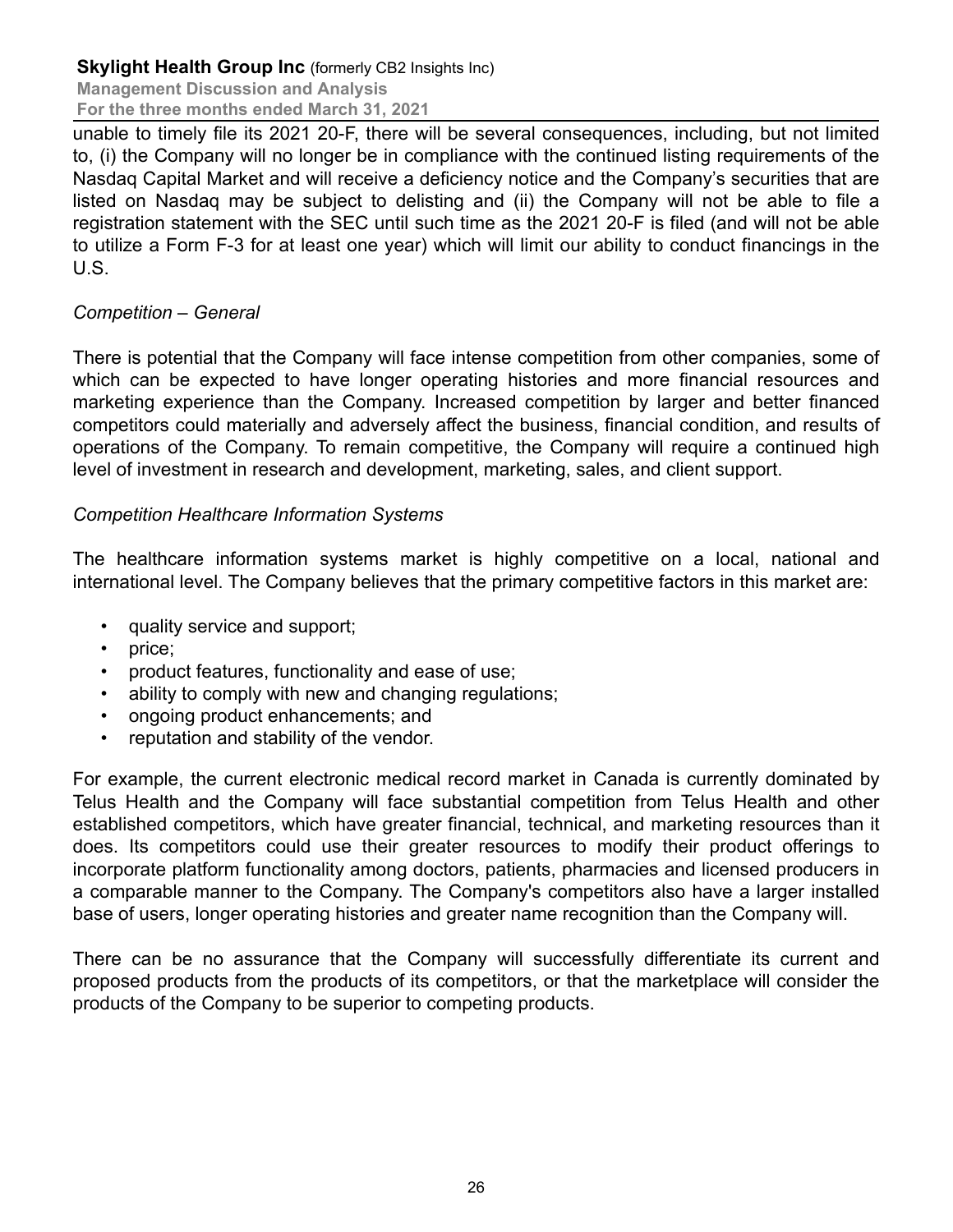**Management Discussion and Analysis For the three months ended March 31, 2021**

unable to timely file its 2021 20-F, there will be several consequences, including, but not limited to, (i) the Company will no longer be in compliance with the continued listing requirements of the Nasdaq Capital Market and will receive a deficiency notice and the Company's securities that are listed on Nasdaq may be subject to delisting and (ii) the Company will not be able to file a registration statement with the SEC until such time as the 2021 20-F is filed (and will not be able to utilize a Form F-3 for at least one year) which will limit our ability to conduct financings in the U.S.

### *Competition – General*

There is potential that the Company will face intense competition from other companies, some of which can be expected to have longer operating histories and more financial resources and marketing experience than the Company. Increased competition by larger and better financed competitors could materially and adversely affect the business, financial condition, and results of operations of the Company. To remain competitive, the Company will require a continued high level of investment in research and development, marketing, sales, and client support.

### *Competition Healthcare Information Systems*

The healthcare information systems market is highly competitive on a local, national and international level. The Company believes that the primary competitive factors in this market are:

- quality service and support;
- price;
- product features, functionality and ease of use;
- ability to comply with new and changing regulations;
- ongoing product enhancements; and
- reputation and stability of the vendor.

For example, the current electronic medical record market in Canada is currently dominated by Telus Health and the Company will face substantial competition from Telus Health and other established competitors, which have greater financial, technical, and marketing resources than it does. Its competitors could use their greater resources to modify their product offerings to incorporate platform functionality among doctors, patients, pharmacies and licensed producers in a comparable manner to the Company. The Company's competitors also have a larger installed base of users, longer operating histories and greater name recognition than the Company will.

There can be no assurance that the Company will successfully differentiate its current and proposed products from the products of its competitors, or that the marketplace will consider the products of the Company to be superior to competing products.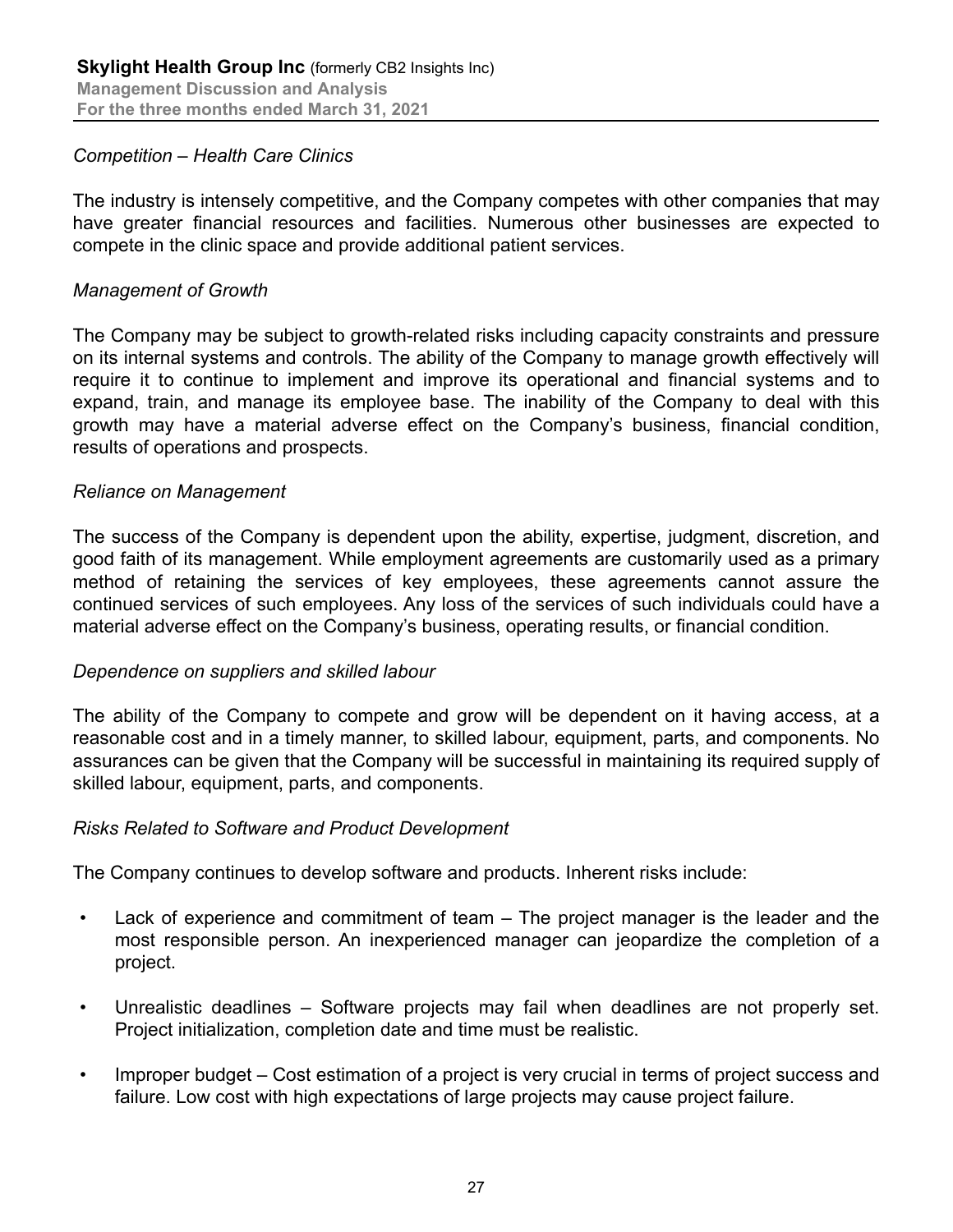#### *Competition – Health Care Clinics*

The industry is intensely competitive, and the Company competes with other companies that may have greater financial resources and facilities. Numerous other businesses are expected to compete in the clinic space and provide additional patient services.

### *Management of Growth*

The Company may be subject to growth-related risks including capacity constraints and pressure on its internal systems and controls. The ability of the Company to manage growth effectively will require it to continue to implement and improve its operational and financial systems and to expand, train, and manage its employee base. The inability of the Company to deal with this growth may have a material adverse effect on the Company's business, financial condition, results of operations and prospects.

#### *Reliance on Management*

The success of the Company is dependent upon the ability, expertise, judgment, discretion, and good faith of its management. While employment agreements are customarily used as a primary method of retaining the services of key employees, these agreements cannot assure the continued services of such employees. Any loss of the services of such individuals could have a material adverse effect on the Company's business, operating results, or financial condition.

#### *Dependence on suppliers and skilled labour*

The ability of the Company to compete and grow will be dependent on it having access, at a reasonable cost and in a timely manner, to skilled labour, equipment, parts, and components. No assurances can be given that the Company will be successful in maintaining its required supply of skilled labour, equipment, parts, and components.

#### *Risks Related to Software and Product Development*

The Company continues to develop software and products. Inherent risks include:

- Lack of experience and commitment of team The project manager is the leader and the most responsible person. An inexperienced manager can jeopardize the completion of a project.
- Unrealistic deadlines Software projects may fail when deadlines are not properly set. Project initialization, completion date and time must be realistic.
- Improper budget Cost estimation of a project is very crucial in terms of project success and failure. Low cost with high expectations of large projects may cause project failure.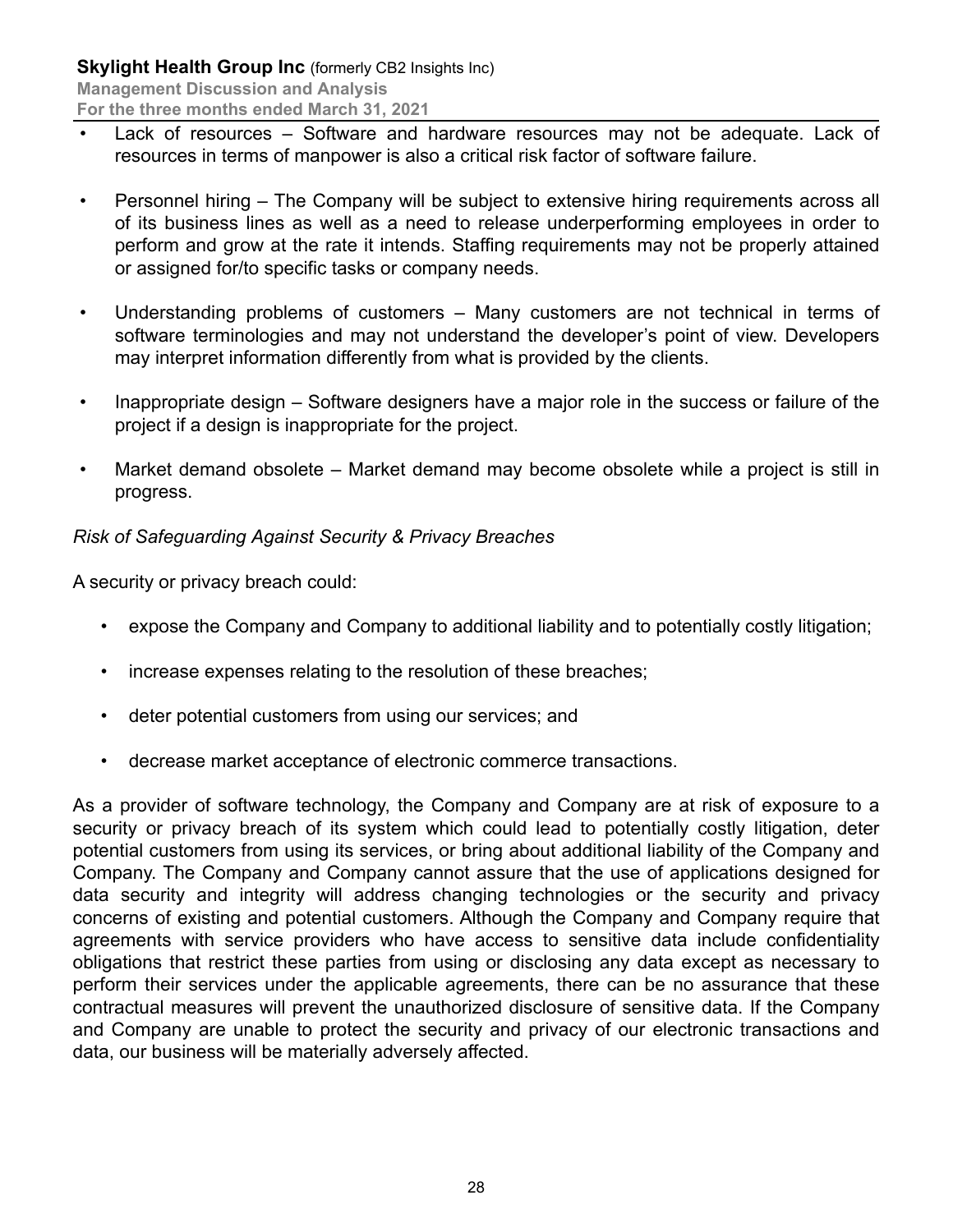- Lack of resources Software and hardware resources may not be adequate. Lack of resources in terms of manpower is also a critical risk factor of software failure.
- Personnel hiring The Company will be subject to extensive hiring requirements across all of its business lines as well as a need to release underperforming employees in order to perform and grow at the rate it intends. Staffing requirements may not be properly attained or assigned for/to specific tasks or company needs.
- Understanding problems of customers Many customers are not technical in terms of software terminologies and may not understand the developer's point of view. Developers may interpret information differently from what is provided by the clients.
- Inappropriate design Software designers have a major role in the success or failure of the project if a design is inappropriate for the project.
- Market demand obsolete Market demand may become obsolete while a project is still in progress.

# *Risk of Safeguarding Against Security & Privacy Breaches*

A security or privacy breach could:

- expose the Company and Company to additional liability and to potentially costly litigation;
- increase expenses relating to the resolution of these breaches;
- deter potential customers from using our services; and
- decrease market acceptance of electronic commerce transactions.

As a provider of software technology, the Company and Company are at risk of exposure to a security or privacy breach of its system which could lead to potentially costly litigation, deter potential customers from using its services, or bring about additional liability of the Company and Company. The Company and Company cannot assure that the use of applications designed for data security and integrity will address changing technologies or the security and privacy concerns of existing and potential customers. Although the Company and Company require that agreements with service providers who have access to sensitive data include confidentiality obligations that restrict these parties from using or disclosing any data except as necessary to perform their services under the applicable agreements, there can be no assurance that these contractual measures will prevent the unauthorized disclosure of sensitive data. If the Company and Company are unable to protect the security and privacy of our electronic transactions and data, our business will be materially adversely affected.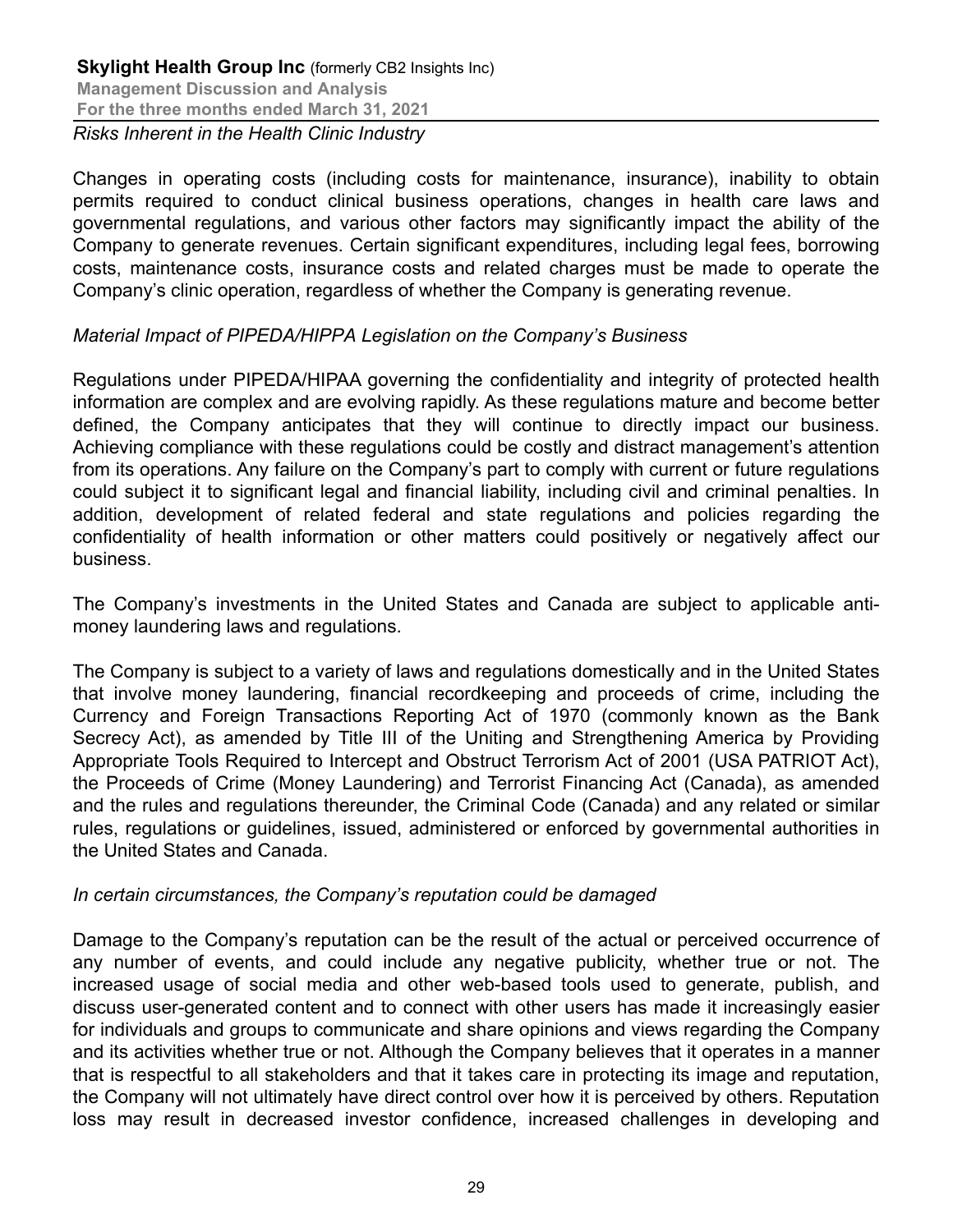Changes in operating costs (including costs for maintenance, insurance), inability to obtain permits required to conduct clinical business operations, changes in health care laws and governmental regulations, and various other factors may significantly impact the ability of the Company to generate revenues. Certain significant expenditures, including legal fees, borrowing costs, maintenance costs, insurance costs and related charges must be made to operate the Company's clinic operation, regardless of whether the Company is generating revenue.

### *Material Impact of PIPEDA/HIPPA Legislation on the Company's Business*

Regulations under PIPEDA/HIPAA governing the confidentiality and integrity of protected health information are complex and are evolving rapidly. As these regulations mature and become better defined, the Company anticipates that they will continue to directly impact our business. Achieving compliance with these regulations could be costly and distract management's attention from its operations. Any failure on the Company's part to comply with current or future regulations could subject it to significant legal and financial liability, including civil and criminal penalties. In addition, development of related federal and state regulations and policies regarding the confidentiality of health information or other matters could positively or negatively affect our business.

The Company's investments in the United States and Canada are subject to applicable antimoney laundering laws and regulations.

The Company is subject to a variety of laws and regulations domestically and in the United States that involve money laundering, financial recordkeeping and proceeds of crime, including the Currency and Foreign Transactions Reporting Act of 1970 (commonly known as the Bank Secrecy Act), as amended by Title III of the Uniting and Strengthening America by Providing Appropriate Tools Required to Intercept and Obstruct Terrorism Act of 2001 (USA PATRIOT Act), the Proceeds of Crime (Money Laundering) and Terrorist Financing Act (Canada), as amended and the rules and regulations thereunder, the Criminal Code (Canada) and any related or similar rules, regulations or guidelines, issued, administered or enforced by governmental authorities in the United States and Canada.

#### *In certain circumstances, the Company's reputation could be damaged*

Damage to the Company's reputation can be the result of the actual or perceived occurrence of any number of events, and could include any negative publicity, whether true or not. The increased usage of social media and other web-based tools used to generate, publish, and discuss user-generated content and to connect with other users has made it increasingly easier for individuals and groups to communicate and share opinions and views regarding the Company and its activities whether true or not. Although the Company believes that it operates in a manner that is respectful to all stakeholders and that it takes care in protecting its image and reputation, the Company will not ultimately have direct control over how it is perceived by others. Reputation loss may result in decreased investor confidence, increased challenges in developing and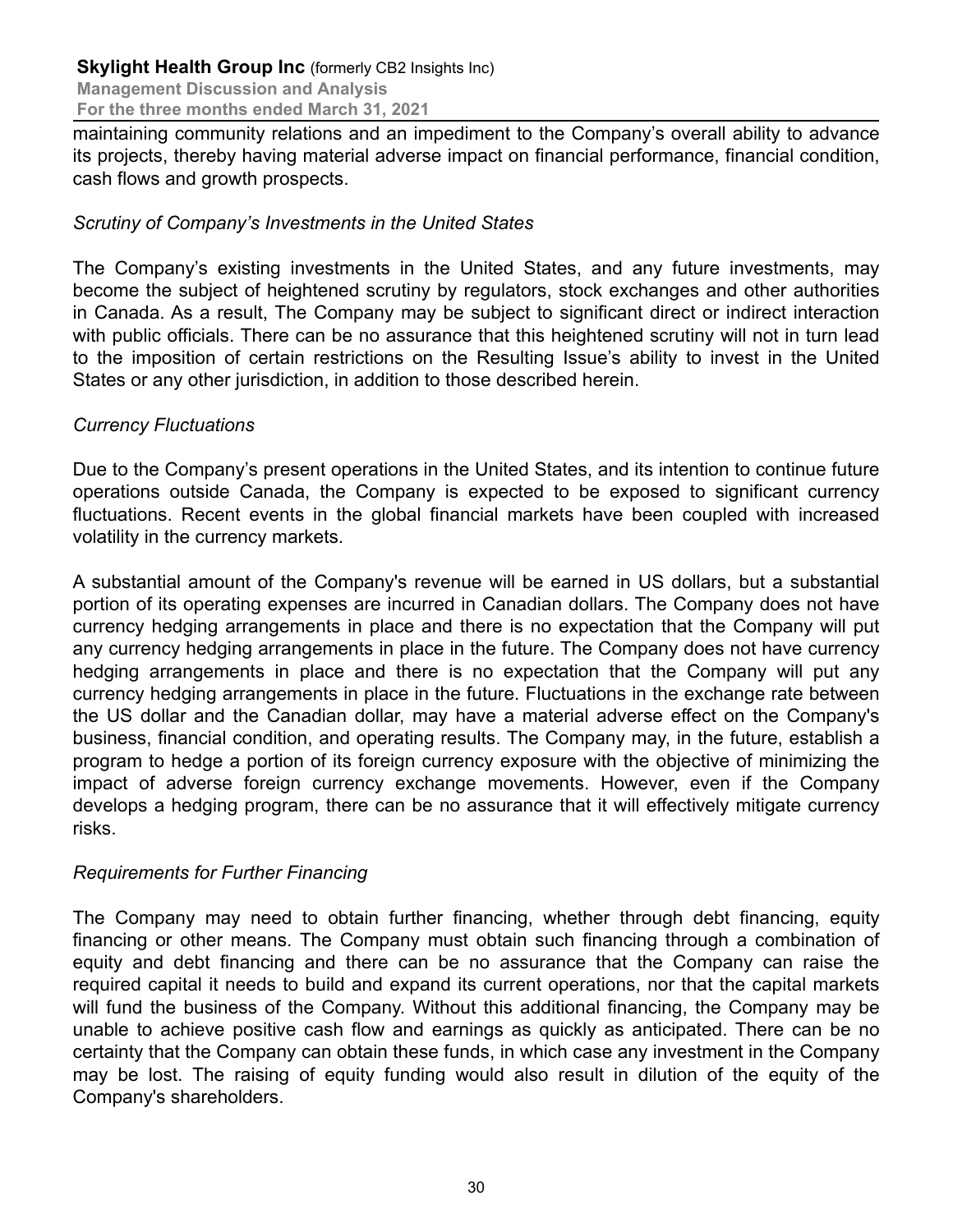maintaining community relations and an impediment to the Company's overall ability to advance its projects, thereby having material adverse impact on financial performance, financial condition, cash flows and growth prospects.

### *Scrutiny of Company's Investments in the United States*

The Company's existing investments in the United States, and any future investments, may become the subject of heightened scrutiny by regulators, stock exchanges and other authorities in Canada. As a result, The Company may be subject to significant direct or indirect interaction with public officials. There can be no assurance that this heightened scrutiny will not in turn lead to the imposition of certain restrictions on the Resulting Issue's ability to invest in the United States or any other jurisdiction, in addition to those described herein.

### *Currency Fluctuations*

Due to the Company's present operations in the United States, and its intention to continue future operations outside Canada, the Company is expected to be exposed to significant currency fluctuations. Recent events in the global financial markets have been coupled with increased volatility in the currency markets.

A substantial amount of the Company's revenue will be earned in US dollars, but a substantial portion of its operating expenses are incurred in Canadian dollars. The Company does not have currency hedging arrangements in place and there is no expectation that the Company will put any currency hedging arrangements in place in the future. The Company does not have currency hedging arrangements in place and there is no expectation that the Company will put any currency hedging arrangements in place in the future. Fluctuations in the exchange rate between the US dollar and the Canadian dollar, may have a material adverse effect on the Company's business, financial condition, and operating results. The Company may, in the future, establish a program to hedge a portion of its foreign currency exposure with the objective of minimizing the impact of adverse foreign currency exchange movements. However, even if the Company develops a hedging program, there can be no assurance that it will effectively mitigate currency risks.

# *Requirements for Further Financing*

The Company may need to obtain further financing, whether through debt financing, equity financing or other means. The Company must obtain such financing through a combination of equity and debt financing and there can be no assurance that the Company can raise the required capital it needs to build and expand its current operations, nor that the capital markets will fund the business of the Company. Without this additional financing, the Company may be unable to achieve positive cash flow and earnings as quickly as anticipated. There can be no certainty that the Company can obtain these funds, in which case any investment in the Company may be lost. The raising of equity funding would also result in dilution of the equity of the Company's shareholders.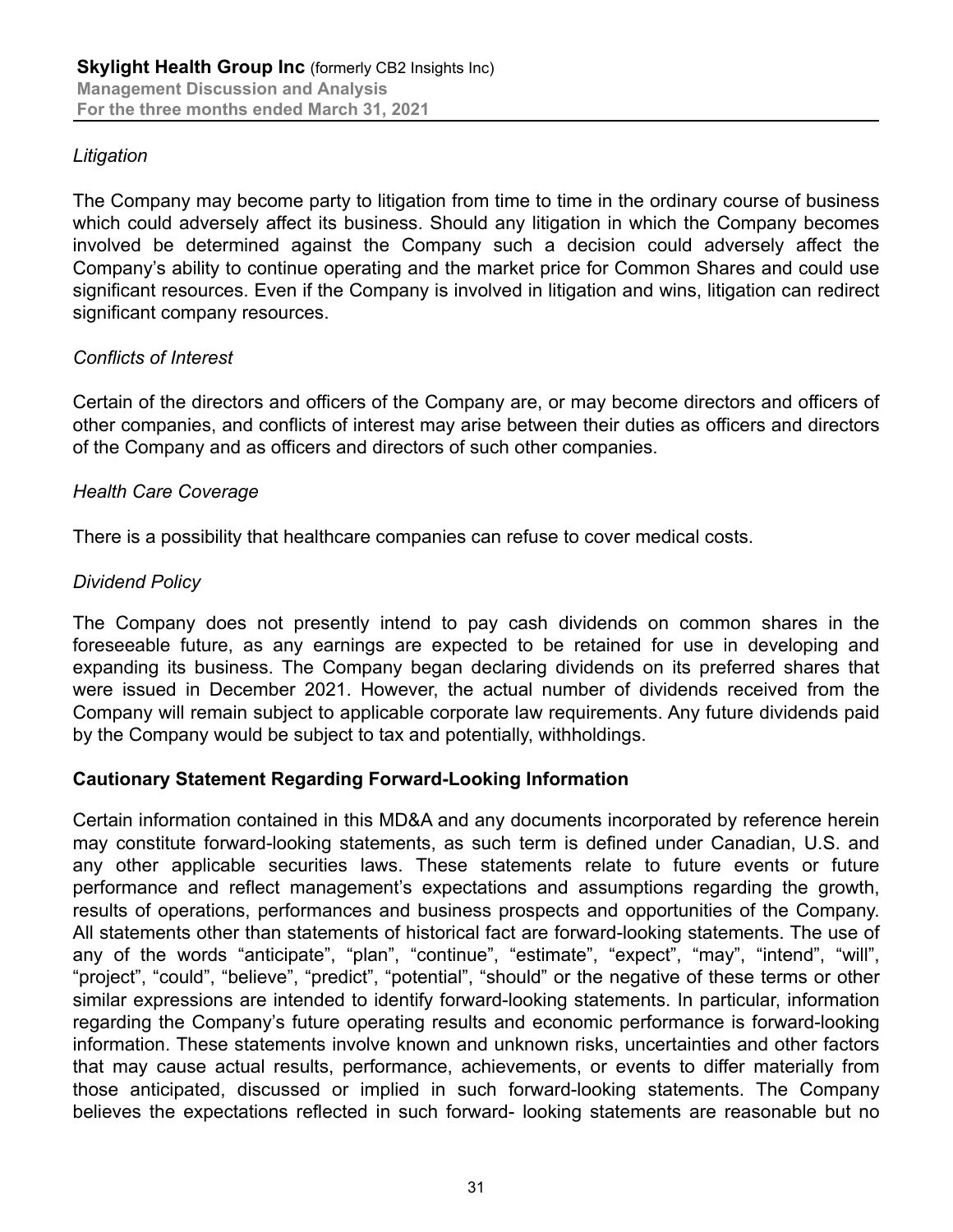### *Litigation*

The Company may become party to litigation from time to time in the ordinary course of business which could adversely affect its business. Should any litigation in which the Company becomes involved be determined against the Company such a decision could adversely affect the Company's ability to continue operating and the market price for Common Shares and could use significant resources. Even if the Company is involved in litigation and wins, litigation can redirect significant company resources.

### *Conflicts of Interest*

Certain of the directors and officers of the Company are, or may become directors and officers of other companies, and conflicts of interest may arise between their duties as officers and directors of the Company and as officers and directors of such other companies.

### *Health Care Coverage*

There is a possibility that healthcare companies can refuse to cover medical costs.

#### *Dividend Policy*

The Company does not presently intend to pay cash dividends on common shares in the foreseeable future, as any earnings are expected to be retained for use in developing and expanding its business. The Company began declaring dividends on its preferred shares that were issued in December 2021. However, the actual number of dividends received from the Company will remain subject to applicable corporate law requirements. Any future dividends paid by the Company would be subject to tax and potentially, withholdings.

#### **Cautionary Statement Regarding Forward-Looking Information**

Certain information contained in this MD&A and any documents incorporated by reference herein may constitute forward-looking statements, as such term is defined under Canadian, U.S. and any other applicable securities laws. These statements relate to future events or future performance and reflect management's expectations and assumptions regarding the growth, results of operations, performances and business prospects and opportunities of the Company. All statements other than statements of historical fact are forward-looking statements. The use of any of the words "anticipate", "plan", "continue", "estimate", "expect", "may", "intend", "will", "project", "could", "believe", "predict", "potential", "should" or the negative of these terms or other similar expressions are intended to identify forward-looking statements. In particular, information regarding the Company's future operating results and economic performance is forward-looking information. These statements involve known and unknown risks, uncertainties and other factors that may cause actual results, performance, achievements, or events to differ materially from those anticipated, discussed or implied in such forward-looking statements. The Company believes the expectations reflected in such forward- looking statements are reasonable but no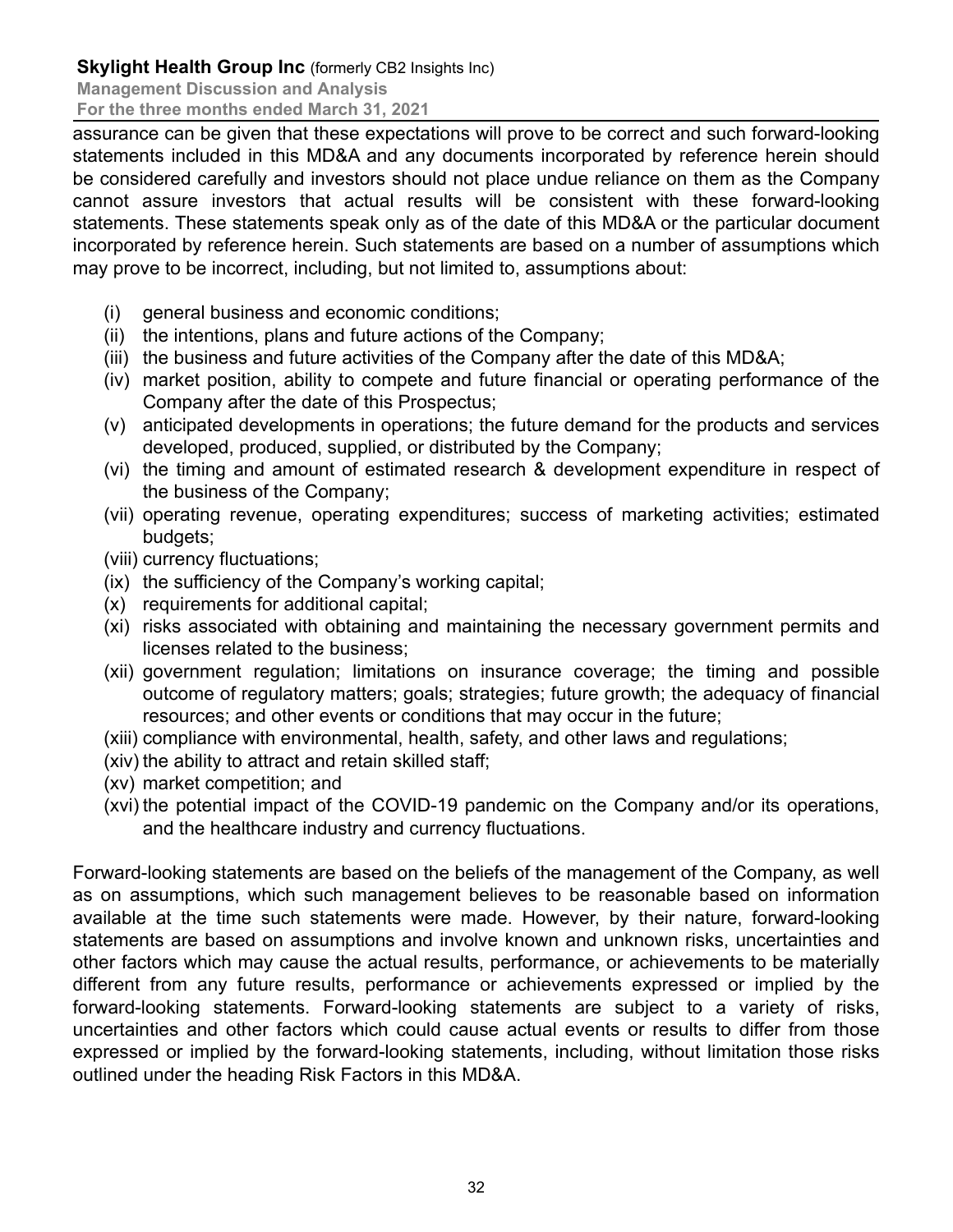**Management Discussion and Analysis**

**For the three months ended March 31, 2021**

assurance can be given that these expectations will prove to be correct and such forward-looking statements included in this MD&A and any documents incorporated by reference herein should be considered carefully and investors should not place undue reliance on them as the Company cannot assure investors that actual results will be consistent with these forward-looking statements. These statements speak only as of the date of this MD&A or the particular document incorporated by reference herein. Such statements are based on a number of assumptions which may prove to be incorrect, including, but not limited to, assumptions about:

- (i) general business and economic conditions;
- (ii) the intentions, plans and future actions of the Company;
- (iii) the business and future activities of the Company after the date of this MD&A;
- (iv) market position, ability to compete and future financial or operating performance of the Company after the date of this Prospectus;
- (v) anticipated developments in operations; the future demand for the products and services developed, produced, supplied, or distributed by the Company;
- (vi) the timing and amount of estimated research & development expenditure in respect of the business of the Company;
- (vii) operating revenue, operating expenditures; success of marketing activities; estimated budgets;
- (viii) currency fluctuations;
- (ix) the sufficiency of the Company's working capital;
- (x) requirements for additional capital;
- (xi) risks associated with obtaining and maintaining the necessary government permits and licenses related to the business;
- (xii) government regulation; limitations on insurance coverage; the timing and possible outcome of regulatory matters; goals; strategies; future growth; the adequacy of financial resources; and other events or conditions that may occur in the future;
- (xiii) compliance with environmental, health, safety, and other laws and regulations;
- (xiv) the ability to attract and retain skilled staff;
- (xv) market competition; and
- (xvi) the potential impact of the COVID-19 pandemic on the Company and/or its operations, and the healthcare industry and currency fluctuations.

Forward-looking statements are based on the beliefs of the management of the Company, as well as on assumptions, which such management believes to be reasonable based on information available at the time such statements were made. However, by their nature, forward-looking statements are based on assumptions and involve known and unknown risks, uncertainties and other factors which may cause the actual results, performance, or achievements to be materially different from any future results, performance or achievements expressed or implied by the forward-looking statements. Forward-looking statements are subject to a variety of risks, uncertainties and other factors which could cause actual events or results to differ from those expressed or implied by the forward-looking statements, including, without limitation those risks outlined under the heading Risk Factors in this MD&A.